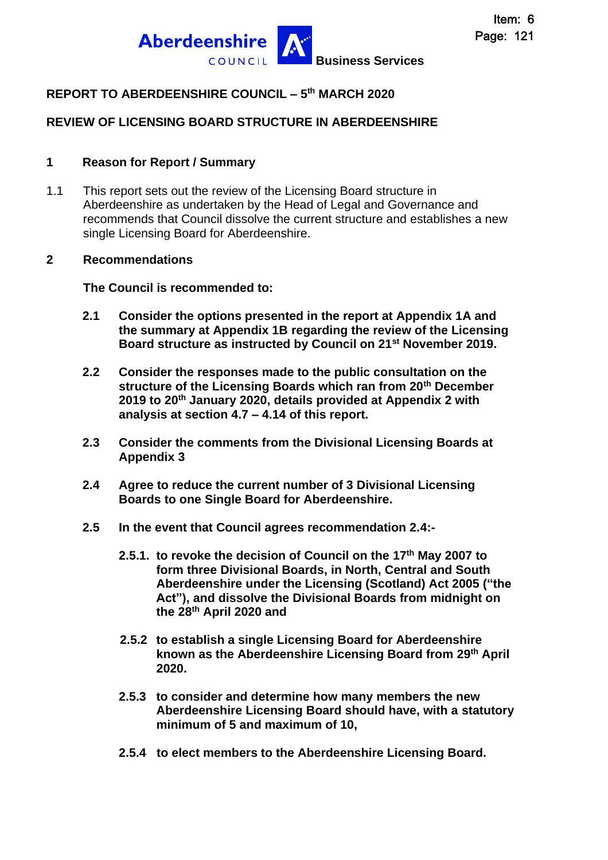

# **REPORT TO ABERDEENSHIRE COUNCIL – 5 th MARCH 2020**

### **REVIEW OF LICENSING BOARD STRUCTURE IN ABERDEENSHIRE**

#### **1 Reason for Report / Summary**

1.1 This report sets out the review of the Licensing Board structure in Aberdeenshire as undertaken by the Head of Legal and Governance and recommends that Council dissolve the current structure and establishes a new single Licensing Board for Aberdeenshire.

#### **2 Recommendations**

**The Council is recommended to:**

- **2.1 Consider the options presented in the report at Appendix 1A and the summary at Appendix 1B regarding the review of the Licensing Board structure as instructed by Council on 21st November 2019.**
- **2.2 Consider the responses made to the public consultation on the structure of the Licensing Boards which ran from 20th December 2019 to 20th January 2020, details provided at Appendix 2 with analysis at section 4.7 – 4.14 of this report.**
- **2.3 Consider the comments from the Divisional Licensing Boards at Appendix 3**
- **2.4 Agree to reduce the current number of 3 Divisional Licensing Boards to one Single Board for Aberdeenshire.**
- **2.5 In the event that Council agrees recommendation 2.4:-**
	- **2.5.1. to revoke the decision of Council on the 17th May 2007 to form three Divisional Boards, in North, Central and South Aberdeenshire under the Licensing (Scotland) Act 2005 ("the Act"), and dissolve the Divisional Boards from midnight on the 28th April 2020 and**
	- **2.5.2 to establish a single Licensing Board for Aberdeenshire known as the Aberdeenshire Licensing Board from 29th April 2020.**
	- **2.5.3 to consider and determine how many members the new Aberdeenshire Licensing Board should have, with a statutory minimum of 5 and maximum of 10,**
	- **2.5.4 to elect members to the Aberdeenshire Licensing Board.**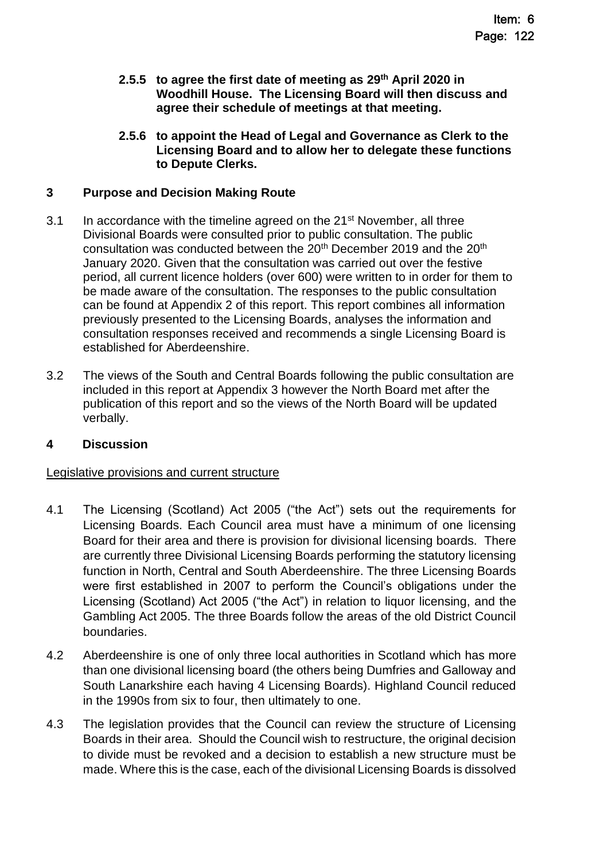- **2.5.5 to agree the first date of meeting as 29th April 2020 in Woodhill House. The Licensing Board will then discuss and agree their schedule of meetings at that meeting.**
- **2.5.6 to appoint the Head of Legal and Governance as Clerk to the Licensing Board and to allow her to delegate these functions to Depute Clerks.**

### **3 Purpose and Decision Making Route**

- 3.1 In accordance with the timeline agreed on the 21<sup>st</sup> November, all three Divisional Boards were consulted prior to public consultation. The public consultation was conducted between the 20<sup>th</sup> December 2019 and the 20<sup>th</sup> January 2020. Given that the consultation was carried out over the festive period, all current licence holders (over 600) were written to in order for them to be made aware of the consultation. The responses to the public consultation can be found at Appendix 2 of this report. This report combines all information previously presented to the Licensing Boards, analyses the information and consultation responses received and recommends a single Licensing Board is established for Aberdeenshire.
- 3.2 The views of the South and Central Boards following the public consultation are included in this report at Appendix 3 however the North Board met after the publication of this report and so the views of the North Board will be updated verbally.

#### **4 Discussion**

#### Legislative provisions and current structure

- 4.1 The Licensing (Scotland) Act 2005 ("the Act") sets out the requirements for Licensing Boards. Each Council area must have a minimum of one licensing Board for their area and there is provision for divisional licensing boards. There are currently three Divisional Licensing Boards performing the statutory licensing function in North, Central and South Aberdeenshire. The three Licensing Boards were first established in 2007 to perform the Council's obligations under the Licensing (Scotland) Act 2005 ("the Act") in relation to liquor licensing, and the Gambling Act 2005. The three Boards follow the areas of the old District Council boundaries.
- 4.2 Aberdeenshire is one of only three local authorities in Scotland which has more than one divisional licensing board (the others being Dumfries and Galloway and South Lanarkshire each having 4 Licensing Boards). Highland Council reduced in the 1990s from six to four, then ultimately to one.
- 4.3 The legislation provides that the Council can review the structure of Licensing Boards in their area. Should the Council wish to restructure, the original decision to divide must be revoked and a decision to establish a new structure must be made. Where this is the case, each of the divisional Licensing Boards is dissolved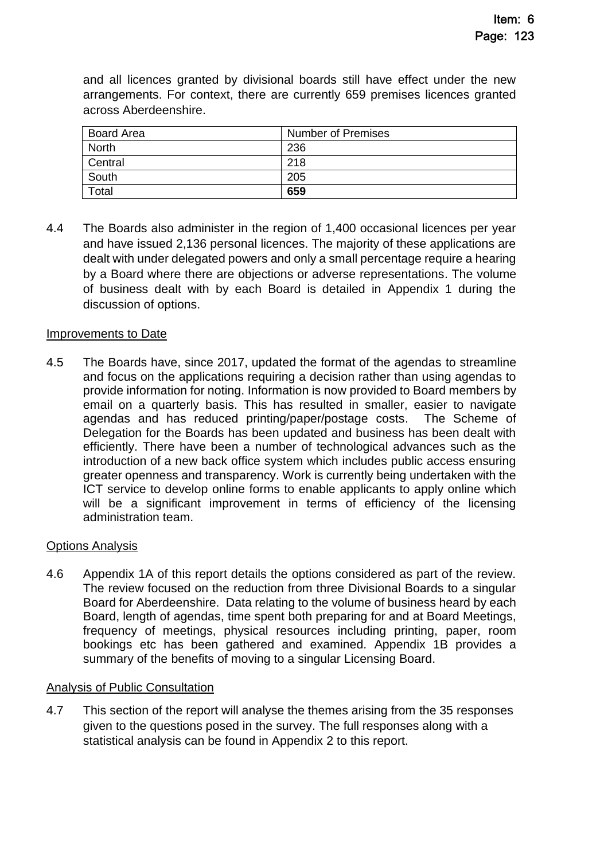and all licences granted by divisional boards still have effect under the new arrangements. For context, there are currently 659 premises licences granted across Aberdeenshire.

| <b>Board Area</b> | <b>Number of Premises</b> |
|-------------------|---------------------------|
| <b>North</b>      | 236                       |
| Central           | 218                       |
| South             | 205                       |
| Total             | 659                       |

4.4 The Boards also administer in the region of 1,400 occasional licences per year and have issued 2,136 personal licences. The majority of these applications are dealt with under delegated powers and only a small percentage require a hearing by a Board where there are objections or adverse representations. The volume of business dealt with by each Board is detailed in Appendix 1 during the discussion of options.

#### Improvements to Date

4.5 The Boards have, since 2017, updated the format of the agendas to streamline and focus on the applications requiring a decision rather than using agendas to provide information for noting. Information is now provided to Board members by email on a quarterly basis. This has resulted in smaller, easier to navigate agendas and has reduced printing/paper/postage costs. The Scheme of Delegation for the Boards has been updated and business has been dealt with efficiently. There have been a number of technological advances such as the introduction of a new back office system which includes public access ensuring greater openness and transparency. Work is currently being undertaken with the ICT service to develop online forms to enable applicants to apply online which will be a significant improvement in terms of efficiency of the licensing administration team.

#### Options Analysis

4.6 Appendix 1A of this report details the options considered as part of the review. The review focused on the reduction from three Divisional Boards to a singular Board for Aberdeenshire. Data relating to the volume of business heard by each Board, length of agendas, time spent both preparing for and at Board Meetings, frequency of meetings, physical resources including printing, paper, room bookings etc has been gathered and examined. Appendix 1B provides a summary of the benefits of moving to a singular Licensing Board.

#### Analysis of Public Consultation

4.7 This section of the report will analyse the themes arising from the 35 responses given to the questions posed in the survey. The full responses along with a statistical analysis can be found in Appendix 2 to this report.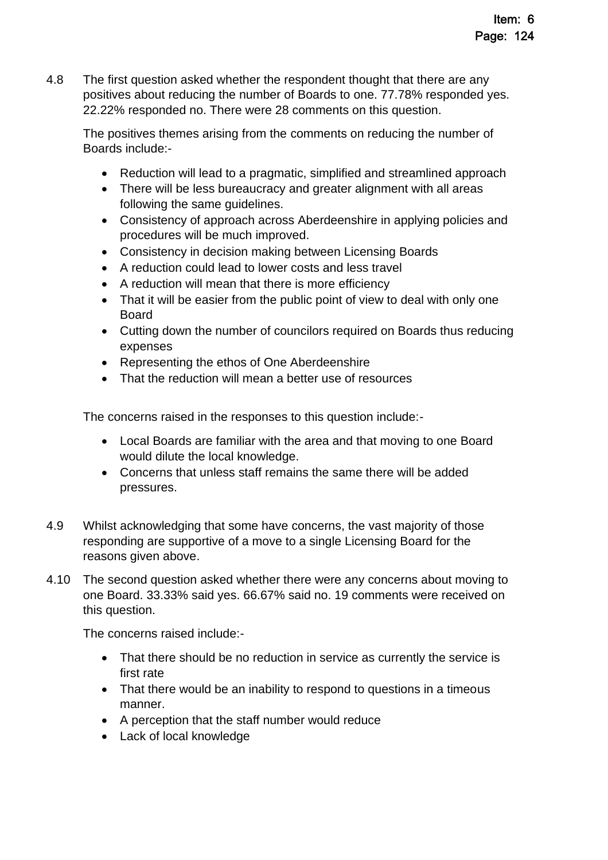4.8 The first question asked whether the respondent thought that there are any positives about reducing the number of Boards to one. 77.78% responded yes. 22.22% responded no. There were 28 comments on this question.

The positives themes arising from the comments on reducing the number of Boards include:-

- Reduction will lead to a pragmatic, simplified and streamlined approach
- There will be less bureaucracy and greater alignment with all areas following the same guidelines.
- Consistency of approach across Aberdeenshire in applying policies and procedures will be much improved.
- Consistency in decision making between Licensing Boards
- A reduction could lead to lower costs and less travel
- A reduction will mean that there is more efficiency
- That it will be easier from the public point of view to deal with only one Board
- Cutting down the number of councilors required on Boards thus reducing expenses
- Representing the ethos of One Aberdeenshire
- That the reduction will mean a better use of resources

The concerns raised in the responses to this question include:-

- Local Boards are familiar with the area and that moving to one Board would dilute the local knowledge.
- Concerns that unless staff remains the same there will be added pressures.
- 4.9 Whilst acknowledging that some have concerns, the vast majority of those responding are supportive of a move to a single Licensing Board for the reasons given above.
- 4.10 The second question asked whether there were any concerns about moving to one Board. 33.33% said yes. 66.67% said no. 19 comments were received on this question.

The concerns raised include:-

- That there should be no reduction in service as currently the service is first rate
- That there would be an inability to respond to questions in a timeous manner.
- A perception that the staff number would reduce
- Lack of local knowledge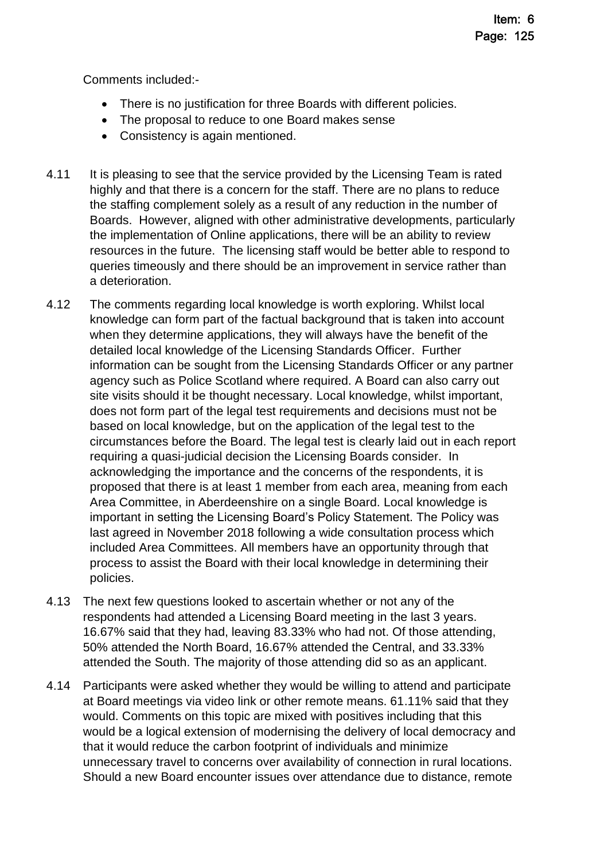Comments included:-

- There is no justification for three Boards with different policies.
- The proposal to reduce to one Board makes sense
- Consistency is again mentioned.
- 4.11 It is pleasing to see that the service provided by the Licensing Team is rated highly and that there is a concern for the staff. There are no plans to reduce the staffing complement solely as a result of any reduction in the number of Boards. However, aligned with other administrative developments, particularly the implementation of Online applications, there will be an ability to review resources in the future. The licensing staff would be better able to respond to queries timeously and there should be an improvement in service rather than a deterioration.
- 4.12 The comments regarding local knowledge is worth exploring. Whilst local knowledge can form part of the factual background that is taken into account when they determine applications, they will always have the benefit of the detailed local knowledge of the Licensing Standards Officer. Further information can be sought from the Licensing Standards Officer or any partner agency such as Police Scotland where required. A Board can also carry out site visits should it be thought necessary. Local knowledge, whilst important, does not form part of the legal test requirements and decisions must not be based on local knowledge, but on the application of the legal test to the circumstances before the Board. The legal test is clearly laid out in each report requiring a quasi-judicial decision the Licensing Boards consider. In acknowledging the importance and the concerns of the respondents, it is proposed that there is at least 1 member from each area, meaning from each Area Committee, in Aberdeenshire on a single Board. Local knowledge is important in setting the Licensing Board's Policy Statement. The Policy was last agreed in November 2018 following a wide consultation process which included Area Committees. All members have an opportunity through that process to assist the Board with their local knowledge in determining their policies.
- 4.13 The next few questions looked to ascertain whether or not any of the respondents had attended a Licensing Board meeting in the last 3 years. 16.67% said that they had, leaving 83.33% who had not. Of those attending, 50% attended the North Board, 16.67% attended the Central, and 33.33% attended the South. The majority of those attending did so as an applicant.
- 4.14 Participants were asked whether they would be willing to attend and participate at Board meetings via video link or other remote means. 61.11% said that they would. Comments on this topic are mixed with positives including that this would be a logical extension of modernising the delivery of local democracy and that it would reduce the carbon footprint of individuals and minimize unnecessary travel to concerns over availability of connection in rural locations. Should a new Board encounter issues over attendance due to distance, remote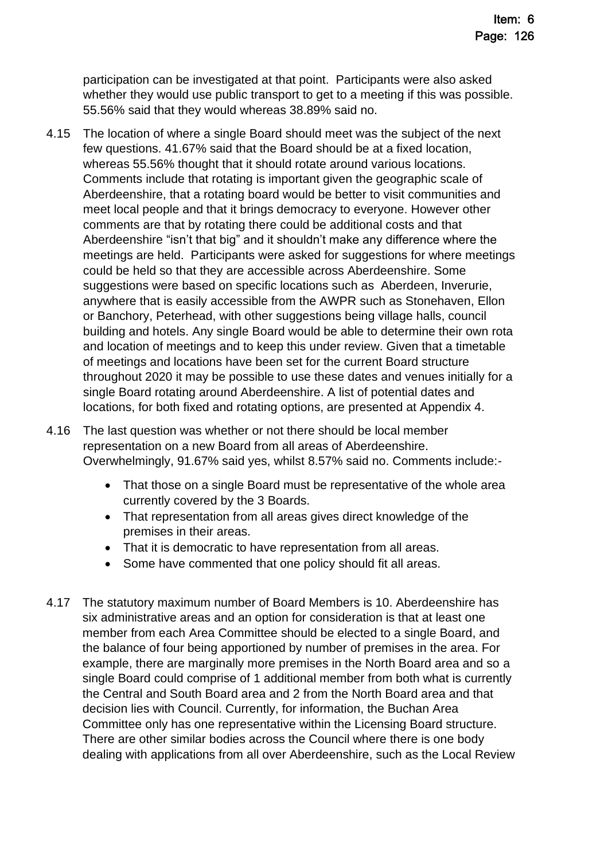participation can be investigated at that point. Participants were also asked whether they would use public transport to get to a meeting if this was possible. 55.56% said that they would whereas 38.89% said no.

4.15 The location of where a single Board should meet was the subject of the next few questions. 41.67% said that the Board should be at a fixed location, whereas 55.56% thought that it should rotate around various locations. Comments include that rotating is important given the geographic scale of Aberdeenshire, that a rotating board would be better to visit communities and meet local people and that it brings democracy to everyone. However other comments are that by rotating there could be additional costs and that Aberdeenshire "isn't that big" and it shouldn't make any difference where the meetings are held. Participants were asked for suggestions for where meetings could be held so that they are accessible across Aberdeenshire. Some suggestions were based on specific locations such as Aberdeen, Inverurie, anywhere that is easily accessible from the AWPR such as Stonehaven, Ellon or Banchory, Peterhead, with other suggestions being village halls, council building and hotels. Any single Board would be able to determine their own rota and location of meetings and to keep this under review. Given that a timetable of meetings and locations have been set for the current Board structure throughout 2020 it may be possible to use these dates and venues initially for a single Board rotating around Aberdeenshire. A list of potential dates and locations, for both fixed and rotating options, are presented at Appendix 4.

4.16 The last question was whether or not there should be local member representation on a new Board from all areas of Aberdeenshire. Overwhelmingly, 91.67% said yes, whilst 8.57% said no. Comments include:-

- That those on a single Board must be representative of the whole area currently covered by the 3 Boards.
- That representation from all areas gives direct knowledge of the premises in their areas.
- That it is democratic to have representation from all areas.
- Some have commented that one policy should fit all areas.
- 4.17 The statutory maximum number of Board Members is 10. Aberdeenshire has six administrative areas and an option for consideration is that at least one member from each Area Committee should be elected to a single Board, and the balance of four being apportioned by number of premises in the area. For example, there are marginally more premises in the North Board area and so a single Board could comprise of 1 additional member from both what is currently the Central and South Board area and 2 from the North Board area and that decision lies with Council. Currently, for information, the Buchan Area Committee only has one representative within the Licensing Board structure. There are other similar bodies across the Council where there is one body dealing with applications from all over Aberdeenshire, such as the Local Review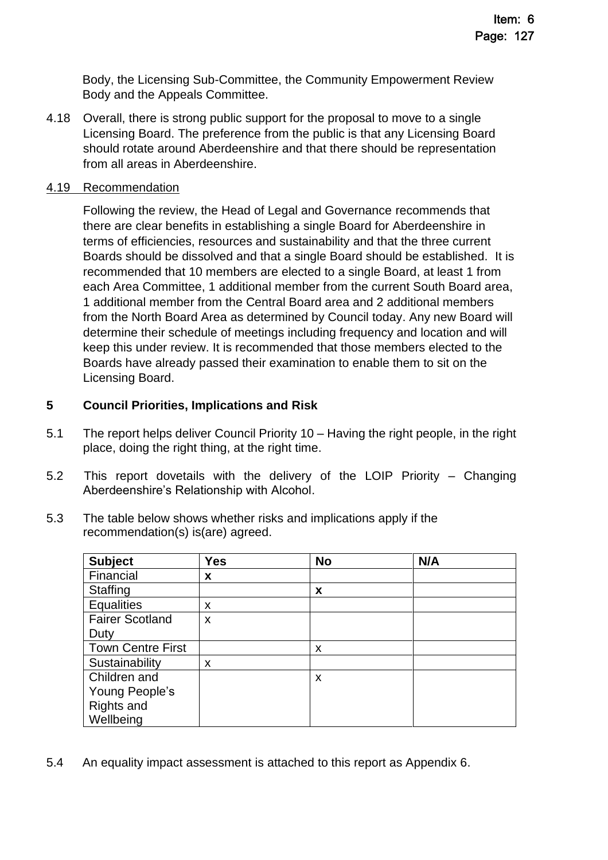Body, the Licensing Sub-Committee, the Community Empowerment Review Body and the Appeals Committee.

4.18 Overall, there is strong public support for the proposal to move to a single Licensing Board. The preference from the public is that any Licensing Board should rotate around Aberdeenshire and that there should be representation from all areas in Aberdeenshire.

#### 4.19 Recommendation

Following the review, the Head of Legal and Governance recommends that there are clear benefits in establishing a single Board for Aberdeenshire in terms of efficiencies, resources and sustainability and that the three current Boards should be dissolved and that a single Board should be established. It is recommended that 10 members are elected to a single Board, at least 1 from each Area Committee, 1 additional member from the current South Board area, 1 additional member from the Central Board area and 2 additional members from the North Board Area as determined by Council today. Any new Board will determine their schedule of meetings including frequency and location and will keep this under review. It is recommended that those members elected to the Boards have already passed their examination to enable them to sit on the Licensing Board.

### **5 Council Priorities, Implications and Risk**

- 5.1 The report helps deliver Council Priority 10 Having the right people, in the right place, doing the right thing, at the right time.
- 5.2 This report dovetails with the delivery of the LOIP Priority Changing Aberdeenshire's Relationship with Alcohol.
- 5.3 The table below shows whether risks and implications apply if the recommendation(s) is(are) agreed.

| <b>Subject</b>           | <b>Yes</b> | <b>No</b> | N/A |
|--------------------------|------------|-----------|-----|
| Financial                | X          |           |     |
| <b>Staffing</b>          |            | X         |     |
| <b>Equalities</b>        | x          |           |     |
| <b>Fairer Scotland</b>   | X          |           |     |
| Duty                     |            |           |     |
| <b>Town Centre First</b> |            | X         |     |
| Sustainability           | X          |           |     |
| Children and             |            | X         |     |
| Young People's           |            |           |     |
| <b>Rights and</b>        |            |           |     |
| Wellbeing                |            |           |     |

5.4 An equality impact assessment is attached to this report as Appendix 6.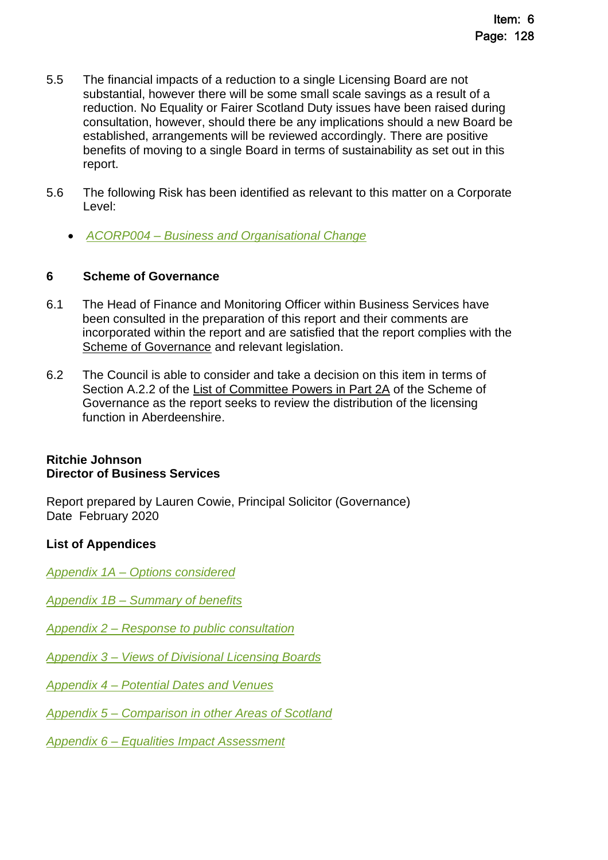- 5.5 The financial impacts of a reduction to a single Licensing Board are not substantial, however there will be some small scale savings as a result of a reduction. No Equality or Fairer Scotland Duty issues have been raised during consultation, however, should there be any implications should a new Board be established, arrangements will be reviewed accordingly. There are positive benefits of moving to a single Board in terms of sustainability as set out in this report.
- 5.6 The following Risk has been identified as relevant to this matter on a Corporate Level:
	- *ACORP004 – [Business and Organisational Change](https://www.aberdeenshire.gov.uk/media/23595/20181128-aberdeenshire-corporate-risks-update.pdf)*

### **6 Scheme of Governance**

- 6.1 The Head of Finance and Monitoring Officer within Business Services have been consulted in the preparation of this report and their comments are incorporated within the report and are satisfied that the report complies with the [Scheme of Governance](https://aberdeenshire.sharepoint.com/sites/Arcadia/services/Pages/Business%20Services/Legal%20and%20Governance/Governance/Scheme-of-Governance-.aspx) and relevant legislation.
- 6.2 The Council is able to consider and take a decision on this item in terms of Section A.2.2 of the [List of Committee Powers in Part 2A](http://publications.aberdeenshire.gov.uk/dataset/c8044f6f-e327-499f-bbc7-94ae9d699559/resource/8d829bb9-95e7-4c83-bc0b-63b76bcba159/download/list-of-committee-powers.pdf) of the Scheme of Governance as the report seeks to review the distribution of the licensing function in Aberdeenshire.

#### **Ritchie Johnson Director of Business Services**

Report prepared by Lauren Cowie, Principal Solicitor (Governance) Date February 2020

# **List of Appendices**

*Appendix 1A – [Options considered](#page-8-0)*

*Appendix 1B – [Summary of benefits](#page-17-0)*

- *Appendix 2 – [Response to public consultation](#page-19-0)*
- *Appendix 3 – [Views of Divisional Licensing Boards](#page-28-0)*
- *Appendix 4 – [Potential Dates and Venues](#page-29-0)*
- *Appendix 5 – [Comparison in other Areas of Scotland](#page-30-0)*

*Appendix 6 – [Equalities Impact Assessment](#page-32-0)*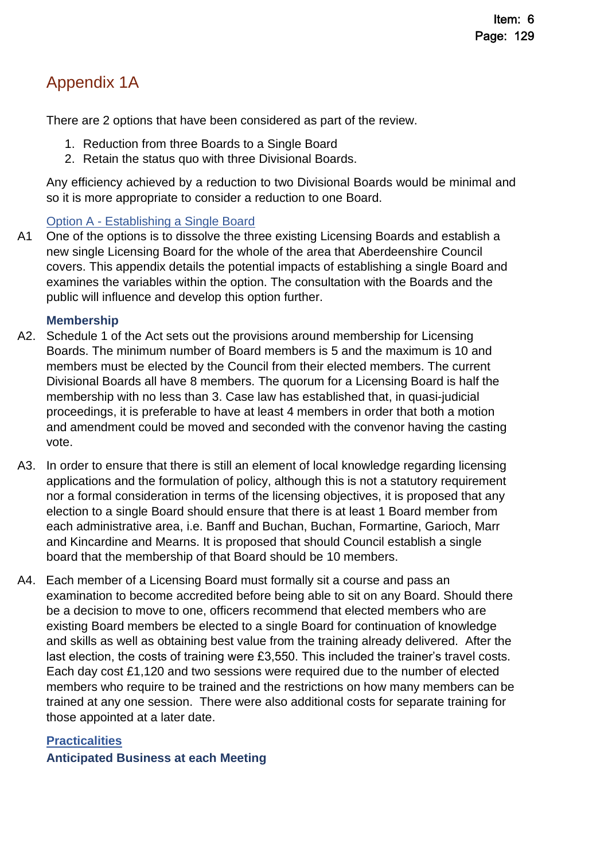# <span id="page-8-0"></span>Appendix 1A

There are 2 options that have been considered as part of the review.

- 1. Reduction from three Boards to a Single Board
- 2. Retain the status quo with three Divisional Boards.

Any efficiency achieved by a reduction to two Divisional Boards would be minimal and so it is more appropriate to consider a reduction to one Board.

# Option A - Establishing a Single Board

A1 One of the options is to dissolve the three existing Licensing Boards and establish a new single Licensing Board for the whole of the area that Aberdeenshire Council covers. This appendix details the potential impacts of establishing a single Board and examines the variables within the option. The consultation with the Boards and the public will influence and develop this option further.

# **Membership**

- A2. Schedule 1 of the Act sets out the provisions around membership for Licensing Boards. The minimum number of Board members is 5 and the maximum is 10 and members must be elected by the Council from their elected members. The current Divisional Boards all have 8 members. The quorum for a Licensing Board is half the membership with no less than 3. Case law has established that, in quasi-judicial proceedings, it is preferable to have at least 4 members in order that both a motion and amendment could be moved and seconded with the convenor having the casting vote.
- A3. In order to ensure that there is still an element of local knowledge regarding licensing applications and the formulation of policy, although this is not a statutory requirement nor a formal consideration in terms of the licensing objectives, it is proposed that any election to a single Board should ensure that there is at least 1 Board member from each administrative area, i.e. Banff and Buchan, Buchan, Formartine, Garioch, Marr and Kincardine and Mearns. It is proposed that should Council establish a single board that the membership of that Board should be 10 members.
- A4. Each member of a Licensing Board must formally sit a course and pass an examination to become accredited before being able to sit on any Board. Should there be a decision to move to one, officers recommend that elected members who are existing Board members be elected to a single Board for continuation of knowledge and skills as well as obtaining best value from the training already delivered. After the last election, the costs of training were £3,550. This included the trainer's travel costs. Each day cost £1,120 and two sessions were required due to the number of elected members who require to be trained and the restrictions on how many members can be trained at any one session. There were also additional costs for separate training for those appointed at a later date.

### **Practicalities**

**Anticipated Business at each Meeting**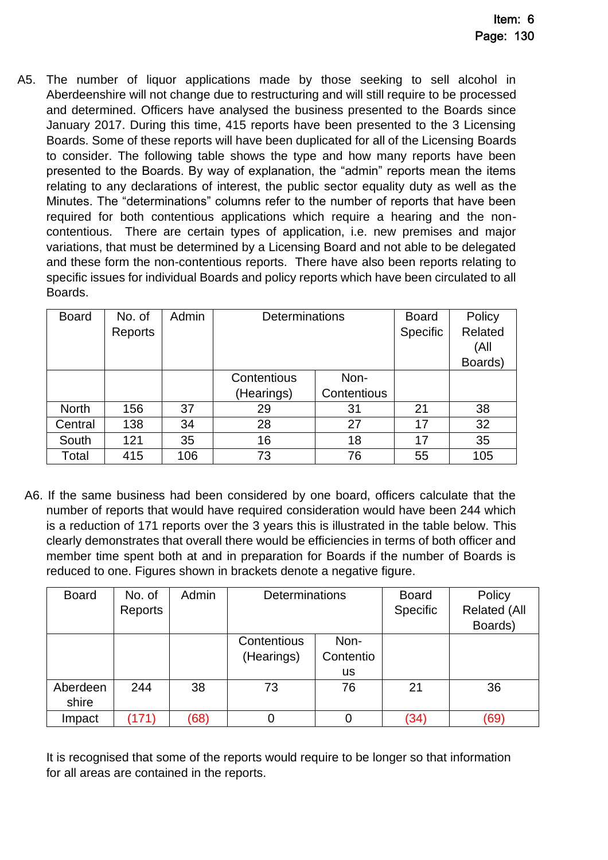A5. The number of liquor applications made by those seeking to sell alcohol in Aberdeenshire will not change due to restructuring and will still require to be processed and determined. Officers have analysed the business presented to the Boards since January 2017. During this time, 415 reports have been presented to the 3 Licensing Boards. Some of these reports will have been duplicated for all of the Licensing Boards to consider. The following table shows the type and how many reports have been presented to the Boards. By way of explanation, the "admin" reports mean the items relating to any declarations of interest, the public sector equality duty as well as the Minutes. The "determinations" columns refer to the number of reports that have been required for both contentious applications which require a hearing and the noncontentious. There are certain types of application, i.e. new premises and major variations, that must be determined by a Licensing Board and not able to be delegated and these form the non-contentious reports. There have also been reports relating to specific issues for individual Boards and policy reports which have been circulated to all Boards.

| <b>Board</b> | No. of  | Admin | <b>Determinations</b> |             | <b>Board</b>    | Policy  |
|--------------|---------|-------|-----------------------|-------------|-----------------|---------|
|              | Reports |       |                       |             | <b>Specific</b> | Related |
|              |         |       |                       |             |                 | (All    |
|              |         |       |                       |             |                 | Boards) |
|              |         |       | Contentious<br>Non-   |             |                 |         |
|              |         |       | (Hearings)            | Contentious |                 |         |
| <b>North</b> | 156     | 37    | 29                    | 31          | 21              | 38      |
| Central      | 138     | 34    | 28                    | 27          | 17              | 32      |
| South        | 121     | 35    | 16                    | 18          | 17              | 35      |
| Total        | 415     | 106   | 73                    | 76          | 55              | 105     |

A6. If the same business had been considered by one board, officers calculate that the number of reports that would have required consideration would have been 244 which is a reduction of 171 reports over the 3 years this is illustrated in the table below. This clearly demonstrates that overall there would be efficiencies in terms of both officer and member time spent both at and in preparation for Boards if the number of Boards is reduced to one. Figures shown in brackets denote a negative figure.

| <b>Board</b>      | No. of<br>Reports | Admin | Determinations                                              |    | <b>Board</b><br>Specific | Policy<br><b>Related (All</b><br>Boards) |
|-------------------|-------------------|-------|-------------------------------------------------------------|----|--------------------------|------------------------------------------|
|                   |                   |       | Contentious<br>Non-<br>Contentio<br>(Hearings)<br><b>us</b> |    |                          |                                          |
| Aberdeen<br>shire | 244               | 38    | 73                                                          | 76 | 21                       | 36                                       |
| Impact            | (171)             | (68)  | 0                                                           |    | (34)                     | (69)                                     |

It is recognised that some of the reports would require to be longer so that information for all areas are contained in the reports.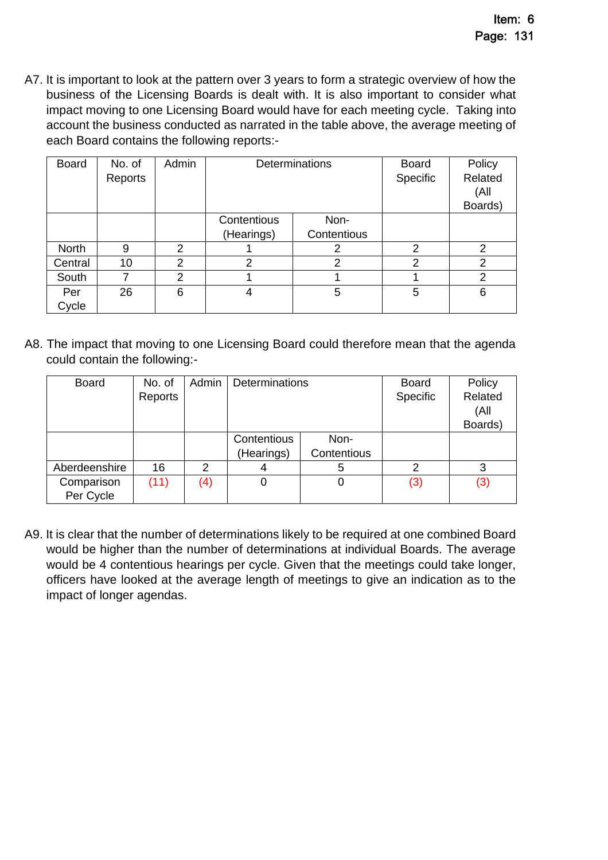A7. It is important to look at the pattern over 3 years to form a strategic overview of how the business of the Licensing Boards is dealt with. It is also important to consider what impact moving to one Licensing Board would have for each meeting cycle. Taking into account the business conducted as narrated in the table above, the average meeting of each Board contains the following reports:-

| <b>Board</b> | No. of<br>Reports | Admin          | Determinations |             | <b>Board</b><br>Specific | Policy<br>Related<br>(All<br>Boards) |
|--------------|-------------------|----------------|----------------|-------------|--------------------------|--------------------------------------|
|              |                   |                | Contentious    | Non-        |                          |                                      |
|              |                   |                | (Hearings)     | Contentious |                          |                                      |
| <b>North</b> | 9                 | 2              |                | 2           | 2                        | 2                                    |
| Central      | 10                | $\mathfrak{p}$ | $\overline{2}$ | 2           | 2                        | 2                                    |
| South        | 7                 | 2              |                |             |                          | 2                                    |
| Per          | 26                | 6              | 5<br>4         |             | 5                        | 6                                    |
| Cycle        |                   |                |                |             |                          |                                      |

A8. The impact that moving to one Licensing Board could therefore mean that the agenda could contain the following:-

| <b>Board</b>            | No. of<br>Reports | Admin         | Determinations            |                     | <b>Board</b><br>Specific | Policy<br>Related<br>(All<br>Boards) |
|-------------------------|-------------------|---------------|---------------------------|---------------------|--------------------------|--------------------------------------|
|                         |                   |               | Contentious<br>(Hearings) | Non-<br>Contentious |                          |                                      |
| Aberdeenshire           | 16                | $\mathcal{P}$ | 4                         | 5                   | 2                        | 3                                    |
| Comparison<br>Per Cycle | (11)              | (4)           | 0                         | 0                   | (3)                      | (3)                                  |

A9. It is clear that the number of determinations likely to be required at one combined Board would be higher than the number of determinations at individual Boards. The average would be 4 contentious hearings per cycle. Given that the meetings could take longer, officers have looked at the average length of meetings to give an indication as to the impact of longer agendas.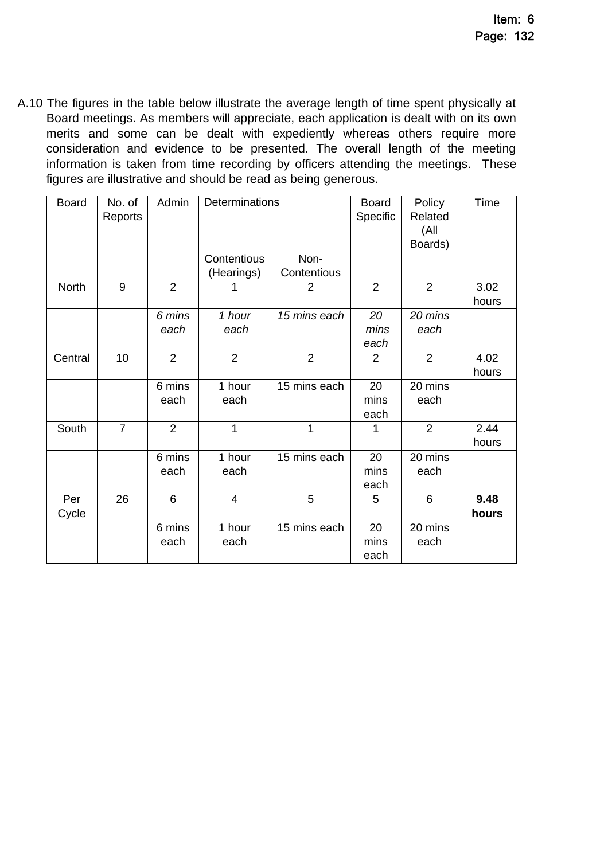A.10 The figures in the table below illustrate the average length of time spent physically at Board meetings. As members will appreciate, each application is dealt with on its own merits and some can be dealt with expediently whereas others require more consideration and evidence to be presented. The overall length of the meeting information is taken from time recording by officers attending the meetings. These figures are illustrative and should be read as being generous.

| <b>Board</b> | No. of<br>Reports | Admin          | Determinations |                | <b>Board</b><br>Specific | Policy<br>Related<br>(All<br>Boards) | Time          |
|--------------|-------------------|----------------|----------------|----------------|--------------------------|--------------------------------------|---------------|
|              |                   |                | Contentious    | Non-           |                          |                                      |               |
|              |                   |                | (Hearings)     | Contentious    |                          |                                      |               |
| <b>North</b> | $\mathsf 9$       | $\overline{2}$ |                | 2              | $\overline{2}$           | $\overline{2}$                       | 3.02<br>hours |
|              |                   | 6 mins<br>each | 1 hour<br>each | 15 mins each   | 20<br>mins<br>each       | 20 mins<br>each                      |               |
| Central      | 10                | $\overline{2}$ | $\overline{2}$ | $\overline{2}$ | $\overline{2}$           | 2                                    | 4.02<br>hours |
|              |                   | 6 mins<br>each | 1 hour<br>each | 15 mins each   | 20<br>mins<br>each       | 20 mins<br>each                      |               |
| South        | $\overline{7}$    | $\overline{2}$ | 1              | 1              | 1                        | $\overline{2}$                       | 2.44<br>hours |
|              |                   | 6 mins<br>each | 1 hour<br>each | 15 mins each   | 20<br>mins<br>each       | 20 mins<br>each                      |               |
| Per<br>Cycle | 26                | 6              | $\overline{4}$ | 5              | 5                        | 6                                    | 9.48<br>hours |
|              |                   | 6 mins<br>each | 1 hour<br>each | 15 mins each   | 20<br>mins<br>each       | 20 mins<br>each                      |               |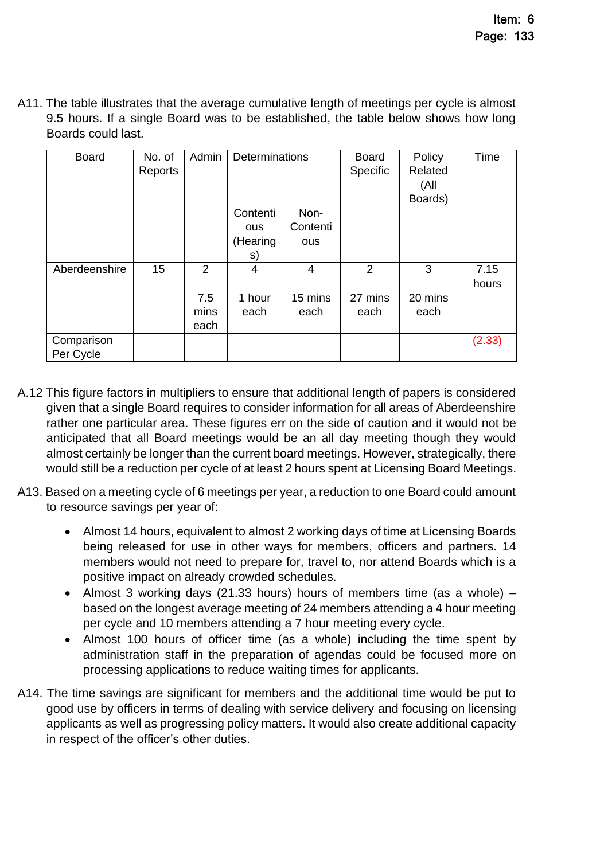A11. The table illustrates that the average cumulative length of meetings per cycle is almost 9.5 hours. If a single Board was to be established, the table below shows how long Boards could last.

| <b>Board</b>            | No. of<br>Reports | Admin               | Determinations                           |                         | <b>Board</b><br>Specific | Policy<br>Related<br>(All<br>Boards) | Time          |
|-------------------------|-------------------|---------------------|------------------------------------------|-------------------------|--------------------------|--------------------------------------|---------------|
|                         |                   |                     | Contenti<br><b>OUS</b><br>(Hearing<br>S) | Non-<br>Contenti<br>ous |                          |                                      |               |
| Aberdeenshire           | 15                | 2                   | 4                                        | 4                       | 2                        | 3                                    | 7.15<br>hours |
|                         |                   | 7.5<br>mins<br>each | 1 hour<br>each                           | 15 mins<br>each         | 27 mins<br>each          | 20 mins<br>each                      |               |
| Comparison<br>Per Cycle |                   |                     |                                          |                         |                          |                                      | (2.33)        |

- A.12 This figure factors in multipliers to ensure that additional length of papers is considered given that a single Board requires to consider information for all areas of Aberdeenshire rather one particular area. These figures err on the side of caution and it would not be anticipated that all Board meetings would be an all day meeting though they would almost certainly be longer than the current board meetings. However, strategically, there would still be a reduction per cycle of at least 2 hours spent at Licensing Board Meetings.
- A13. Based on a meeting cycle of 6 meetings per year, a reduction to one Board could amount to resource savings per year of:
	- Almost 14 hours, equivalent to almost 2 working days of time at Licensing Boards being released for use in other ways for members, officers and partners. 14 members would not need to prepare for, travel to, nor attend Boards which is a positive impact on already crowded schedules.
	- Almost 3 working days (21.33 hours) hours of members time (as a whole) based on the longest average meeting of 24 members attending a 4 hour meeting per cycle and 10 members attending a 7 hour meeting every cycle.
	- Almost 100 hours of officer time (as a whole) including the time spent by administration staff in the preparation of agendas could be focused more on processing applications to reduce waiting times for applicants.
- A14. The time savings are significant for members and the additional time would be put to good use by officers in terms of dealing with service delivery and focusing on licensing applicants as well as progressing policy matters. It would also create additional capacity in respect of the officer's other duties.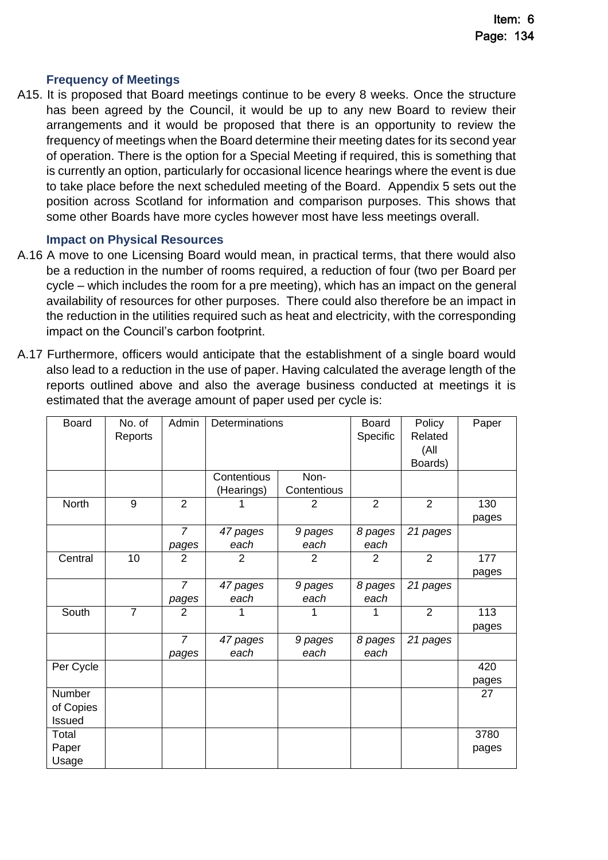#### **Frequency of Meetings**

A15. It is proposed that Board meetings continue to be every 8 weeks. Once the structure has been agreed by the Council, it would be up to any new Board to review their arrangements and it would be proposed that there is an opportunity to review the frequency of meetings when the Board determine their meeting dates for its second year of operation. There is the option for a Special Meeting if required, this is something that is currently an option, particularly for occasional licence hearings where the event is due to take place before the next scheduled meeting of the Board. Appendix 5 sets out the position across Scotland for information and comparison purposes. This shows that some other Boards have more cycles however most have less meetings overall.

#### **Impact on Physical Resources**

- A.16 A move to one Licensing Board would mean, in practical terms, that there would also be a reduction in the number of rooms required, a reduction of four (two per Board per cycle – which includes the room for a pre meeting), which has an impact on the general availability of resources for other purposes. There could also therefore be an impact in the reduction in the utilities required such as heat and electricity, with the corresponding impact on the Council's carbon footprint.
- A.17 Furthermore, officers would anticipate that the establishment of a single board would also lead to a reduction in the use of paper. Having calculated the average length of the reports outlined above and also the average business conducted at meetings it is estimated that the average amount of paper used per cycle is:

| <b>Board</b> | No. of<br>Reports | Admin          | Determinations |                | <b>Board</b><br>Specific | Policy<br>Related<br>(All<br>Boards) | Paper |
|--------------|-------------------|----------------|----------------|----------------|--------------------------|--------------------------------------|-------|
|              |                   |                | Contentious    | Non-           |                          |                                      |       |
|              |                   |                | (Hearings)     | Contentious    |                          |                                      |       |
| North        | 9                 | $\overline{2}$ |                | $\overline{2}$ | $\overline{2}$           | $\overline{2}$                       | 130   |
|              |                   |                |                |                |                          |                                      | pages |
|              |                   | $\overline{7}$ | 47 pages       | 9 pages        | 8 pages                  | 21 pages                             |       |
|              |                   | pages          | each           | each           | each                     |                                      |       |
| Central      | 10                | $\overline{2}$ | $\overline{2}$ | $\overline{2}$ | $\overline{2}$           | $\overline{2}$                       | 177   |
|              |                   |                |                |                |                          |                                      | pages |
|              |                   | $\overline{7}$ | 47 pages       | 9 pages        | 8 pages                  | 21 pages                             |       |
|              |                   | pages          | each           | each           | each                     |                                      |       |
| South        | $\overline{7}$    | $\overline{2}$ |                | 1              | 1                        | $\overline{2}$                       | 113   |
|              |                   |                |                |                |                          |                                      | pages |
|              |                   | $\overline{7}$ | 47 pages       | 9 pages        | 8 pages                  | 21 pages                             |       |
|              |                   | pages          | each           | each           | each                     |                                      |       |
| Per Cycle    |                   |                |                |                |                          |                                      | 420   |
|              |                   |                |                |                |                          |                                      | pages |
| Number       |                   |                |                |                |                          |                                      | 27    |
| of Copies    |                   |                |                |                |                          |                                      |       |
| Issued       |                   |                |                |                |                          |                                      |       |
| Total        |                   |                |                |                |                          |                                      | 3780  |
| Paper        |                   |                |                |                |                          |                                      | pages |
| Usage        |                   |                |                |                |                          |                                      |       |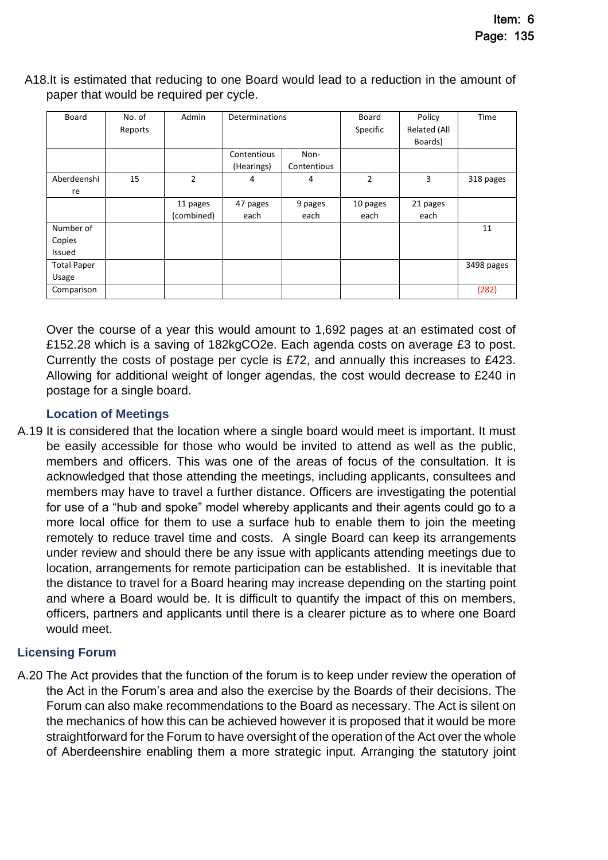| Board              | No. of<br>Reports | Admin      | Determinations |             | Board<br>Specific | Policy<br>Related (All<br>Boards) | Time       |
|--------------------|-------------------|------------|----------------|-------------|-------------------|-----------------------------------|------------|
|                    |                   |            | Contentious    | Non-        |                   |                                   |            |
|                    |                   |            | (Hearings)     | Contentious |                   |                                   |            |
| Aberdeenshi        | 15                | 2          | 4              | 4           | $\overline{2}$    | 3                                 | 318 pages  |
| re                 |                   |            |                |             |                   |                                   |            |
|                    |                   | 11 pages   | 47 pages       | 9 pages     | 10 pages          | 21 pages                          |            |
|                    |                   | (combined) | each           | each        | each              | each                              |            |
| Number of          |                   |            |                |             |                   |                                   | 11         |
| Copies             |                   |            |                |             |                   |                                   |            |
| Issued             |                   |            |                |             |                   |                                   |            |
| <b>Total Paper</b> |                   |            |                |             |                   |                                   | 3498 pages |
| Usage              |                   |            |                |             |                   |                                   |            |
| Comparison         |                   |            |                |             |                   |                                   | (282)      |

A18.It is estimated that reducing to one Board would lead to a reduction in the amount of paper that would be required per cycle.

Over the course of a year this would amount to 1,692 pages at an estimated cost of £152.28 which is a saving of 182kgCO2e. Each agenda costs on average £3 to post. Currently the costs of postage per cycle is £72, and annually this increases to £423. Allowing for additional weight of longer agendas, the cost would decrease to £240 in postage for a single board.

#### **Location of Meetings**

A.19 It is considered that the location where a single board would meet is important. It must be easily accessible for those who would be invited to attend as well as the public, members and officers. This was one of the areas of focus of the consultation. It is acknowledged that those attending the meetings, including applicants, consultees and members may have to travel a further distance. Officers are investigating the potential for use of a "hub and spoke" model whereby applicants and their agents could go to a more local office for them to use a surface hub to enable them to join the meeting remotely to reduce travel time and costs. A single Board can keep its arrangements under review and should there be any issue with applicants attending meetings due to location, arrangements for remote participation can be established. It is inevitable that the distance to travel for a Board hearing may increase depending on the starting point and where a Board would be. It is difficult to quantify the impact of this on members, officers, partners and applicants until there is a clearer picture as to where one Board would meet.

### **Licensing Forum**

A.20 The Act provides that the function of the forum is to keep under review the operation of the Act in the Forum's area and also the exercise by the Boards of their decisions. The Forum can also make recommendations to the Board as necessary. The Act is silent on the mechanics of how this can be achieved however it is proposed that it would be more straightforward for the Forum to have oversight of the operation of the Act over the whole of Aberdeenshire enabling them a more strategic input. Arranging the statutory joint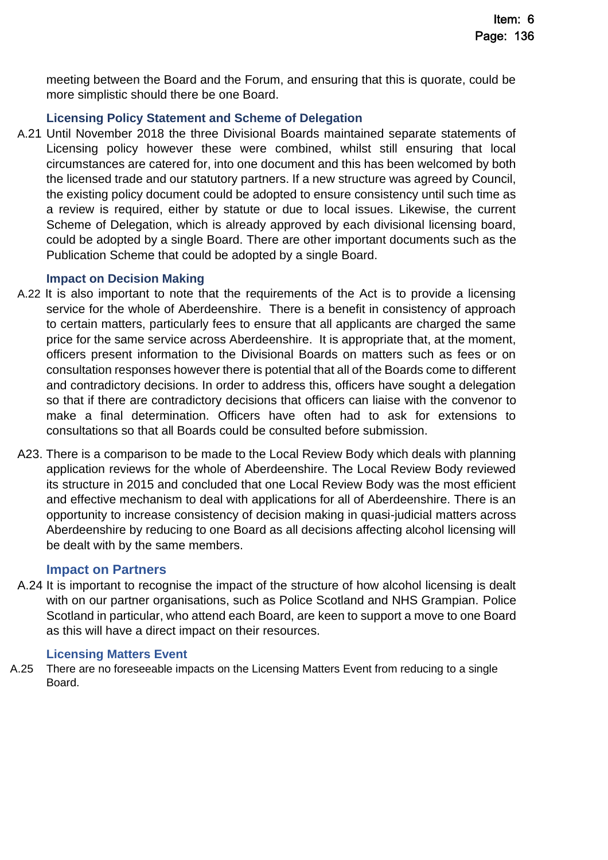meeting between the Board and the Forum, and ensuring that this is quorate, could be more simplistic should there be one Board.

# **Licensing Policy Statement and Scheme of Delegation**

A.21 Until November 2018 the three Divisional Boards maintained separate statements of Licensing policy however these were combined, whilst still ensuring that local circumstances are catered for, into one document and this has been welcomed by both the licensed trade and our statutory partners. If a new structure was agreed by Council, the existing policy document could be adopted to ensure consistency until such time as a review is required, either by statute or due to local issues. Likewise, the current Scheme of Delegation, which is already approved by each divisional licensing board, could be adopted by a single Board. There are other important documents such as the Publication Scheme that could be adopted by a single Board.

### **Impact on Decision Making**

- A.22 It is also important to note that the requirements of the Act is to provide a licensing service for the whole of Aberdeenshire. There is a benefit in consistency of approach to certain matters, particularly fees to ensure that all applicants are charged the same price for the same service across Aberdeenshire. It is appropriate that, at the moment, officers present information to the Divisional Boards on matters such as fees or on consultation responses however there is potential that all of the Boards come to different and contradictory decisions. In order to address this, officers have sought a delegation so that if there are contradictory decisions that officers can liaise with the convenor to make a final determination. Officers have often had to ask for extensions to consultations so that all Boards could be consulted before submission.
- A23. There is a comparison to be made to the Local Review Body which deals with planning application reviews for the whole of Aberdeenshire. The Local Review Body reviewed its structure in 2015 and concluded that one Local Review Body was the most efficient and effective mechanism to deal with applications for all of Aberdeenshire. There is an opportunity to increase consistency of decision making in quasi-judicial matters across Aberdeenshire by reducing to one Board as all decisions affecting alcohol licensing will be dealt with by the same members.

### **Impact on Partners**

A.24 It is important to recognise the impact of the structure of how alcohol licensing is dealt with on our partner organisations, such as Police Scotland and NHS Grampian. Police Scotland in particular, who attend each Board, are keen to support a move to one Board as this will have a direct impact on their resources.

#### **Licensing Matters Event**

A.25 There are no foreseeable impacts on the Licensing Matters Event from reducing to a single Board.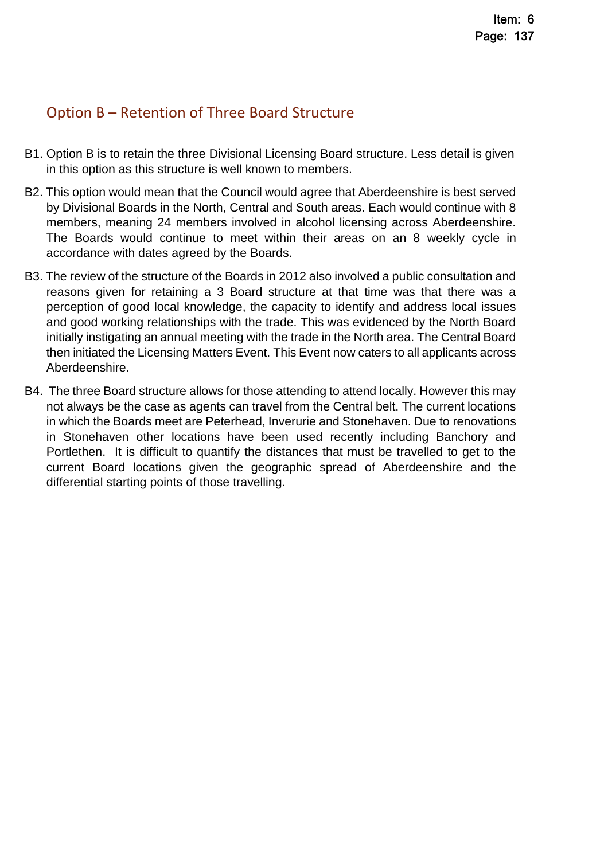# Option B – Retention of Three Board Structure

- B1. Option B is to retain the three Divisional Licensing Board structure. Less detail is given in this option as this structure is well known to members.
- B2. This option would mean that the Council would agree that Aberdeenshire is best served by Divisional Boards in the North, Central and South areas. Each would continue with 8 members, meaning 24 members involved in alcohol licensing across Aberdeenshire. The Boards would continue to meet within their areas on an 8 weekly cycle in accordance with dates agreed by the Boards.
- B3. The review of the structure of the Boards in 2012 also involved a public consultation and reasons given for retaining a 3 Board structure at that time was that there was a perception of good local knowledge, the capacity to identify and address local issues and good working relationships with the trade. This was evidenced by the North Board initially instigating an annual meeting with the trade in the North area. The Central Board then initiated the Licensing Matters Event. This Event now caters to all applicants across Aberdeenshire.
- B4. The three Board structure allows for those attending to attend locally. However this may not always be the case as agents can travel from the Central belt. The current locations in which the Boards meet are Peterhead, Inverurie and Stonehaven. Due to renovations in Stonehaven other locations have been used recently including Banchory and Portlethen. It is difficult to quantify the distances that must be travelled to get to the current Board locations given the geographic spread of Aberdeenshire and the differential starting points of those travelling.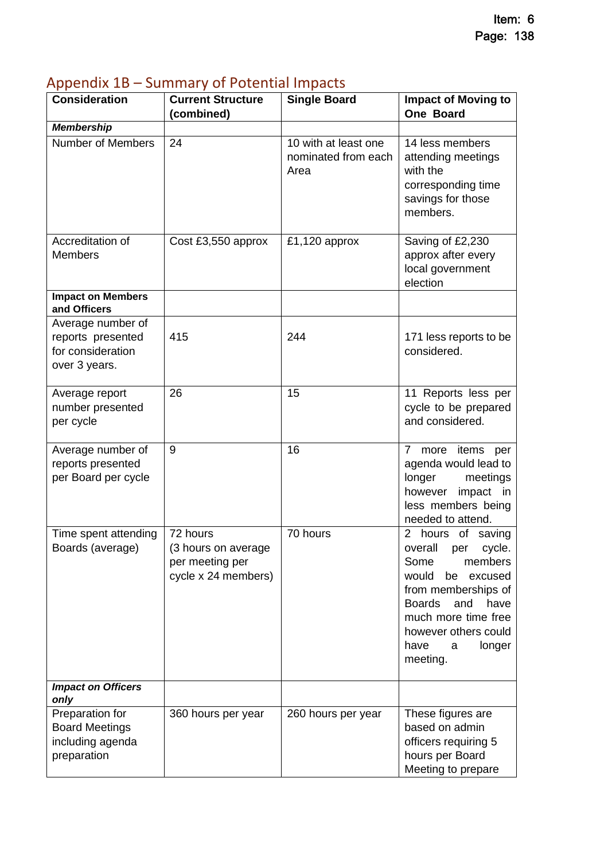| np<br><b>Consideration</b>                                                   | $381111181$ , $911$ $32211194$ $1111$ $3321$<br><b>Current Structure</b>  | <b>Single Board</b>                                 | <b>Impact of Moving to</b>                                                                                                                                                                                                          |
|------------------------------------------------------------------------------|---------------------------------------------------------------------------|-----------------------------------------------------|-------------------------------------------------------------------------------------------------------------------------------------------------------------------------------------------------------------------------------------|
|                                                                              | (combined)                                                                |                                                     | <b>One Board</b>                                                                                                                                                                                                                    |
| <b>Membership</b>                                                            |                                                                           |                                                     |                                                                                                                                                                                                                                     |
| <b>Number of Members</b>                                                     | 24                                                                        | 10 with at least one<br>nominated from each<br>Area | 14 less members<br>attending meetings<br>with the<br>corresponding time<br>savings for those<br>members.                                                                                                                            |
| Accreditation of<br><b>Members</b>                                           | Cost £3,550 approx                                                        | £1,120 approx                                       | Saving of £2,230<br>approx after every<br>local government<br>election                                                                                                                                                              |
| <b>Impact on Members</b><br>and Officers                                     |                                                                           |                                                     |                                                                                                                                                                                                                                     |
| Average number of<br>reports presented<br>for consideration<br>over 3 years. | 415                                                                       | 244                                                 | 171 less reports to be<br>considered.                                                                                                                                                                                               |
| Average report<br>number presented<br>per cycle                              | 26                                                                        | 15                                                  | 11 Reports less per<br>cycle to be prepared<br>and considered.                                                                                                                                                                      |
| Average number of<br>reports presented<br>per Board per cycle                | 9                                                                         | 16                                                  | 7 <sup>7</sup><br>more items<br>per<br>agenda would lead to<br>longer meetings<br>however<br>impact in<br>less members being<br>needed to attend.                                                                                   |
| Time spent attending<br>Boards (average)                                     | 72 hours<br>(3 hours on average<br>per meeting per<br>cycle x 24 members) | 70 hours                                            | 2 hours of saving<br>overall<br>per<br>cycle.<br>Some<br>members<br>would<br>excused<br>be<br>from memberships of<br><b>Boards</b><br>have<br>and<br>much more time free<br>however others could<br>have<br>longer<br>a<br>meeting. |
| <b>Impact on Officers</b><br>only                                            |                                                                           |                                                     |                                                                                                                                                                                                                                     |
| Preparation for<br><b>Board Meetings</b><br>including agenda<br>preparation  | 360 hours per year                                                        | 260 hours per year                                  | These figures are<br>based on admin<br>officers requiring 5<br>hours per Board<br>Meeting to prepare                                                                                                                                |

# <span id="page-17-0"></span>Appendix 1B – Summary of Potential Impacts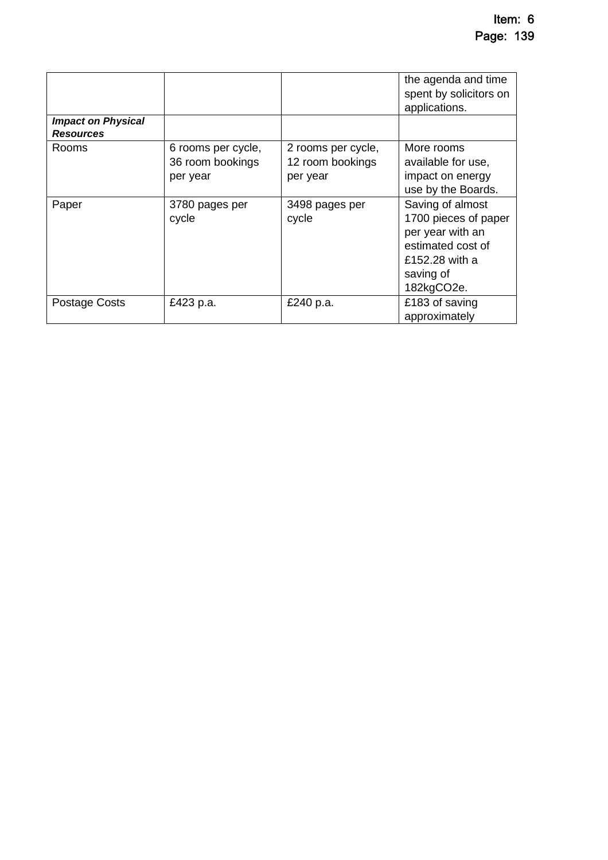| <b>Impact on Physical</b> |                                                    |                                                    | the agenda and time<br>spent by solicitors on<br>applications.                                                                 |
|---------------------------|----------------------------------------------------|----------------------------------------------------|--------------------------------------------------------------------------------------------------------------------------------|
| <b>Resources</b>          |                                                    |                                                    |                                                                                                                                |
| Rooms                     | 6 rooms per cycle,<br>36 room bookings<br>per year | 2 rooms per cycle,<br>12 room bookings<br>per year | More rooms<br>available for use,<br>impact on energy<br>use by the Boards.                                                     |
| Paper                     | 3780 pages per<br>cycle                            | 3498 pages per<br>cycle                            | Saving of almost<br>1700 pieces of paper<br>per year with an<br>estimated cost of<br>£152.28 with a<br>saving of<br>182kgCO2e. |
| <b>Postage Costs</b>      | £423 p.a.                                          | £240 p.a.                                          | £183 of saving<br>approximately                                                                                                |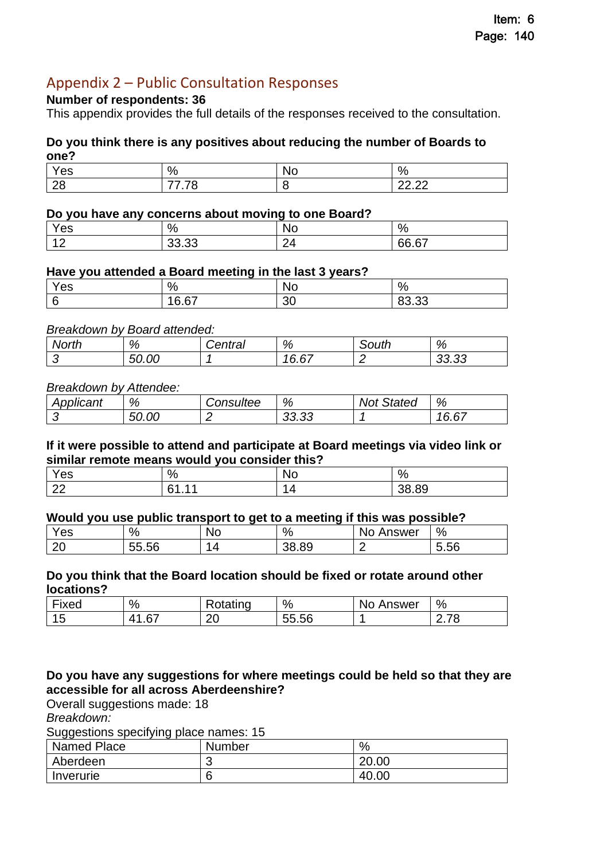# <span id="page-19-0"></span>Appendix 2 – Public Consultation Responses

#### **Number of respondents: 36**

This appendix provides the full details of the responses received to the consultation.

#### **Do you think there is any positives about reducing the number of Boards to one?**

| es             | $\Omega$                         | u | $\mathbf{o}$  |
|----------------|----------------------------------|---|---------------|
|                | ٠,                               | ∼ | ٬ο            |
| $\Omega$<br>∠∪ | $\sim$ $\sim$<br>$-$<br>–<br>. . |   | 0000<br>----- |

#### **Do you have any concerns about moving to one Board?**

| Yes                | %              | - -<br><b>No</b>    | $\%$  |
|--------------------|----------------|---------------------|-------|
| $\Lambda$ $\Omega$ | nn nn<br>ບບ.ບບ | $\sim$<br>'∆<br>_ . | 66.67 |

#### **Have you attended a Board meeting in the last 3 years?**

| es | %                        | NO            | $\%$                  |
|----|--------------------------|---------------|-----------------------|
|    | $\sim$<br>$\sim$<br>v.v, | $\sim$<br>. . | $\sim$<br>nn.<br>טטוע |

#### *Breakdown by Board attended:*

| North | %     | <i>`entral</i> | %           | วuth | %              |
|-------|-------|----------------|-------------|------|----------------|
|       | 50.00 |                | . n-<br>v.v |      | מה הה<br>oo.oo |

#### *Breakdown by Attendee:*

| . .<br>Applicant | %     | <i><b>Consultee</b></i> | %               | Not<br>Stated | %                                       |
|------------------|-------|-------------------------|-----------------|---------------|-----------------------------------------|
|                  | 50.00 |                         | $\sim$<br>ວວ.ວວ |               | $\sim$<br>$\overline{4}$<br><b>U.U.</b> |

#### **If it were possible to attend and participate at Board meetings via video link or similar remote means would you consider this?**

| es          | $\frac{0}{0}$ | NG | $\%$             |
|-------------|---------------|----|------------------|
| $\sim$<br>ᅩ | C1            |    | 8.89<br>ာဝ<br>הר |

#### **Would you use public transport to get to a meeting if this was possible?**

| $\cdot$<br>es | %  |                       | No | %                 | <b>\nswer</b><br>No<br>∽ | $\%$           |
|---------------|----|-----------------------|----|-------------------|--------------------------|----------------|
| ററ<br>∠∪      | -- | $\mathbf{r}$<br>55.56 |    | c.<br>ററ<br>კგ.გყ |                          | $\sim$<br>5.56 |

#### **Do you think that the Board location should be fixed or rotate around other locations?**

| $-$<br>·ixed | %                   | ∽<br>. .<br>otatınd | $\%$                  | Answer<br>N <sub>0</sub> | %           |
|--------------|---------------------|---------------------|-----------------------|--------------------------|-------------|
| --<br>È      | $\sim$ -<br>ப<br>.∪ | $\sim$<br>∼         | --<br>$\sim$<br>55.56 |                          | -~<br>ں ، … |

#### **Do you have any suggestions for where meetings could be held so that they are accessible for all across Aberdeenshire?**

Overall suggestions made: 18

*Breakdown:* 

Suggestions specifying place names: 15

| Named Place | <b>Number</b> | %     |
|-------------|---------------|-------|
| Aberdeen    |               | 20.00 |
| Inverurie   |               | 40.00 |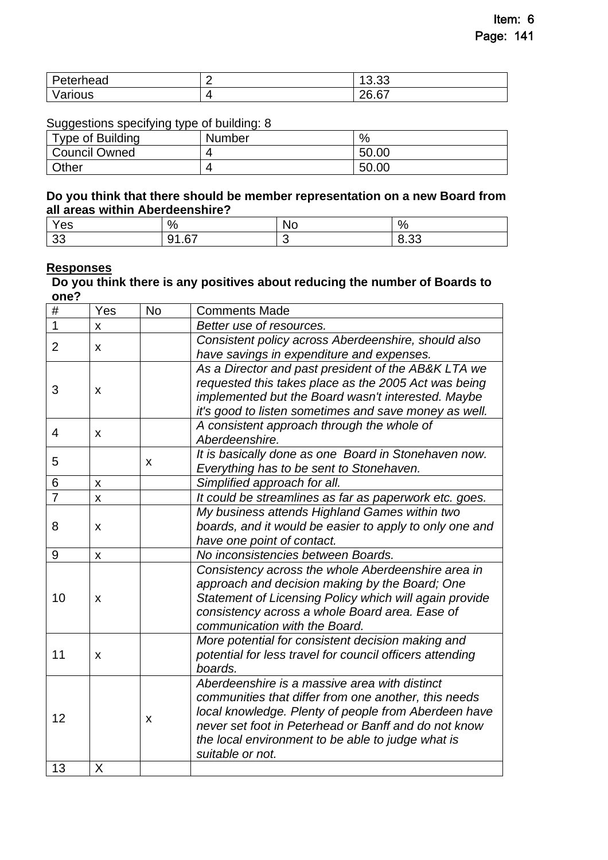| Peterhead | $\sim$<br>$\sim$<br>v.vu     |
|-----------|------------------------------|
| ′arious   | $\sim$ $\sim$<br>າຂ<br>20.U. |

Suggestions specifying type of building: 8

| --<br>Type of Building | <b>Number</b> | %     |
|------------------------|---------------|-------|
| <b>Council Owned</b>   |               | 50.00 |
| Other                  | 4             | 50.00 |

#### **Do you think that there should be member representation on a new Board from all areas within Aberdeenshire?**

| es            | $\%$                | 'N.<br>∼ | $\%$           |
|---------------|---------------------|----------|----------------|
| $\sim$<br>vv. | $\sim$<br>Q1<br>، ب |          | $\sim$<br>∪.∪∪ |

# **Responses**

#### **Do you think there is any positives about reducing the number of Boards to one?**

| #                                                                                                                                                                                                                                                                                                                                                                                                                                                                                                                                                                                                                                         | Yes                                        | No | <b>Comments Made</b>                                     |
|-------------------------------------------------------------------------------------------------------------------------------------------------------------------------------------------------------------------------------------------------------------------------------------------------------------------------------------------------------------------------------------------------------------------------------------------------------------------------------------------------------------------------------------------------------------------------------------------------------------------------------------------|--------------------------------------------|----|----------------------------------------------------------|
| 1                                                                                                                                                                                                                                                                                                                                                                                                                                                                                                                                                                                                                                         | X                                          |    | Better use of resources.                                 |
|                                                                                                                                                                                                                                                                                                                                                                                                                                                                                                                                                                                                                                           |                                            |    | Consistent policy across Aberdeenshire, should also      |
|                                                                                                                                                                                                                                                                                                                                                                                                                                                                                                                                                                                                                                           |                                            |    | have savings in expenditure and expenses.                |
|                                                                                                                                                                                                                                                                                                                                                                                                                                                                                                                                                                                                                                           |                                            |    | As a Director and past president of the AB&K LTA we      |
|                                                                                                                                                                                                                                                                                                                                                                                                                                                                                                                                                                                                                                           |                                            |    | requested this takes place as the 2005 Act was being     |
|                                                                                                                                                                                                                                                                                                                                                                                                                                                                                                                                                                                                                                           |                                            |    | implemented but the Board wasn't interested. Maybe       |
|                                                                                                                                                                                                                                                                                                                                                                                                                                                                                                                                                                                                                                           |                                            |    | it's good to listen sometimes and save money as well.    |
| $\overline{2}$<br>X<br>3<br>X<br>$\overline{4}$<br>X<br>Aberdeenshire.<br>5<br>X<br>6<br>Simplified approach for all.<br>X<br>$\overline{7}$<br>X<br>8<br>X<br>have one point of contact.<br>9<br>No inconsistencies between Boards.<br>$\pmb{\mathsf{X}}$<br>10<br>X<br>communication with the Board.<br>11<br>X<br>boards.<br>Aberdeenshire is a massive area with distinct<br>communities that differ from one another, this needs<br>local knowledge. Plenty of people from Aberdeen have<br>12<br>x<br>never set foot in Peterhead or Banff and do not know<br>the local environment to be able to judge what is<br>suitable or not. | A consistent approach through the whole of |    |                                                          |
|                                                                                                                                                                                                                                                                                                                                                                                                                                                                                                                                                                                                                                           |                                            |    |                                                          |
|                                                                                                                                                                                                                                                                                                                                                                                                                                                                                                                                                                                                                                           |                                            |    | It is basically done as one Board in Stonehaven now.     |
|                                                                                                                                                                                                                                                                                                                                                                                                                                                                                                                                                                                                                                           |                                            |    | Everything has to be sent to Stonehaven.                 |
|                                                                                                                                                                                                                                                                                                                                                                                                                                                                                                                                                                                                                                           |                                            |    |                                                          |
|                                                                                                                                                                                                                                                                                                                                                                                                                                                                                                                                                                                                                                           |                                            |    | It could be streamlines as far as paperwork etc. goes.   |
|                                                                                                                                                                                                                                                                                                                                                                                                                                                                                                                                                                                                                                           |                                            |    | My business attends Highland Games within two            |
|                                                                                                                                                                                                                                                                                                                                                                                                                                                                                                                                                                                                                                           |                                            |    | boards, and it would be easier to apply to only one and  |
|                                                                                                                                                                                                                                                                                                                                                                                                                                                                                                                                                                                                                                           |                                            |    |                                                          |
|                                                                                                                                                                                                                                                                                                                                                                                                                                                                                                                                                                                                                                           |                                            |    |                                                          |
| 13                                                                                                                                                                                                                                                                                                                                                                                                                                                                                                                                                                                                                                        |                                            |    | Consistency across the whole Aberdeenshire area in       |
|                                                                                                                                                                                                                                                                                                                                                                                                                                                                                                                                                                                                                                           |                                            |    | approach and decision making by the Board; One           |
|                                                                                                                                                                                                                                                                                                                                                                                                                                                                                                                                                                                                                                           |                                            |    | Statement of Licensing Policy which will again provide   |
|                                                                                                                                                                                                                                                                                                                                                                                                                                                                                                                                                                                                                                           |                                            |    | consistency across a whole Board area. Ease of           |
|                                                                                                                                                                                                                                                                                                                                                                                                                                                                                                                                                                                                                                           |                                            |    |                                                          |
|                                                                                                                                                                                                                                                                                                                                                                                                                                                                                                                                                                                                                                           |                                            |    | More potential for consistent decision making and        |
|                                                                                                                                                                                                                                                                                                                                                                                                                                                                                                                                                                                                                                           |                                            |    | potential for less travel for council officers attending |
|                                                                                                                                                                                                                                                                                                                                                                                                                                                                                                                                                                                                                                           |                                            |    |                                                          |
|                                                                                                                                                                                                                                                                                                                                                                                                                                                                                                                                                                                                                                           |                                            |    |                                                          |
|                                                                                                                                                                                                                                                                                                                                                                                                                                                                                                                                                                                                                                           |                                            |    |                                                          |
|                                                                                                                                                                                                                                                                                                                                                                                                                                                                                                                                                                                                                                           |                                            |    |                                                          |
|                                                                                                                                                                                                                                                                                                                                                                                                                                                                                                                                                                                                                                           |                                            |    |                                                          |
|                                                                                                                                                                                                                                                                                                                                                                                                                                                                                                                                                                                                                                           |                                            |    |                                                          |
|                                                                                                                                                                                                                                                                                                                                                                                                                                                                                                                                                                                                                                           |                                            |    |                                                          |
|                                                                                                                                                                                                                                                                                                                                                                                                                                                                                                                                                                                                                                           | X                                          |    |                                                          |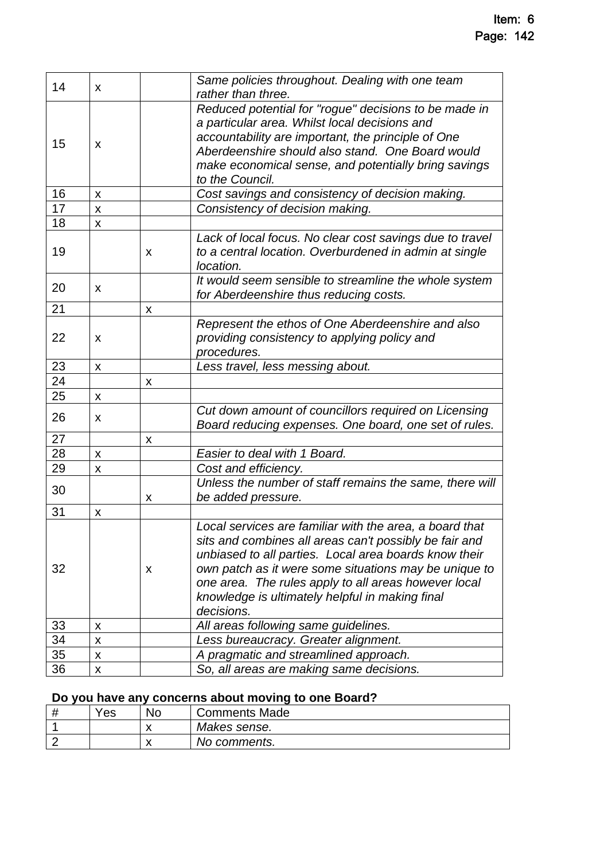| Same policies throughout. Dealing with one team                                                                                                                                                                                                                                                                                                |
|------------------------------------------------------------------------------------------------------------------------------------------------------------------------------------------------------------------------------------------------------------------------------------------------------------------------------------------------|
| Reduced potential for "rogue" decisions to be made in<br>a particular area. Whilst local decisions and<br>accountability are important, the principle of One<br>Aberdeenshire should also stand. One Board would<br>make economical sense, and potentially bring savings                                                                       |
| Cost savings and consistency of decision making.                                                                                                                                                                                                                                                                                               |
|                                                                                                                                                                                                                                                                                                                                                |
|                                                                                                                                                                                                                                                                                                                                                |
| Lack of local focus. No clear cost savings due to travel<br>to a central location. Overburdened in admin at single                                                                                                                                                                                                                             |
| It would seem sensible to streamline the whole system<br>for Aberdeenshire thus reducing costs.                                                                                                                                                                                                                                                |
|                                                                                                                                                                                                                                                                                                                                                |
| Represent the ethos of One Aberdeenshire and also<br>providing consistency to applying policy and                                                                                                                                                                                                                                              |
|                                                                                                                                                                                                                                                                                                                                                |
|                                                                                                                                                                                                                                                                                                                                                |
|                                                                                                                                                                                                                                                                                                                                                |
| Cut down amount of councillors required on Licensing<br>Board reducing expenses. One board, one set of rules.                                                                                                                                                                                                                                  |
|                                                                                                                                                                                                                                                                                                                                                |
|                                                                                                                                                                                                                                                                                                                                                |
|                                                                                                                                                                                                                                                                                                                                                |
| Unless the number of staff remains the same, there will                                                                                                                                                                                                                                                                                        |
|                                                                                                                                                                                                                                                                                                                                                |
| Local services are familiar with the area, a board that<br>sits and combines all areas can't possibly be fair and<br>unbiased to all parties. Local area boards know their<br>own patch as it were some situations may be unique to<br>one area. The rules apply to all areas however local<br>knowledge is ultimately helpful in making final |
| All areas following same guidelines.                                                                                                                                                                                                                                                                                                           |
|                                                                                                                                                                                                                                                                                                                                                |
|                                                                                                                                                                                                                                                                                                                                                |
| Less bureaucracy. Greater alignment.<br>A pragmatic and streamlined approach.                                                                                                                                                                                                                                                                  |
|                                                                                                                                                                                                                                                                                                                                                |

# **Do you have any concerns about moving to one Board?**

| Yes | No | <b>Comments Made</b> |
|-----|----|----------------------|
|     | ↗  | Makes sense.         |
|     | ◠  | No comments.         |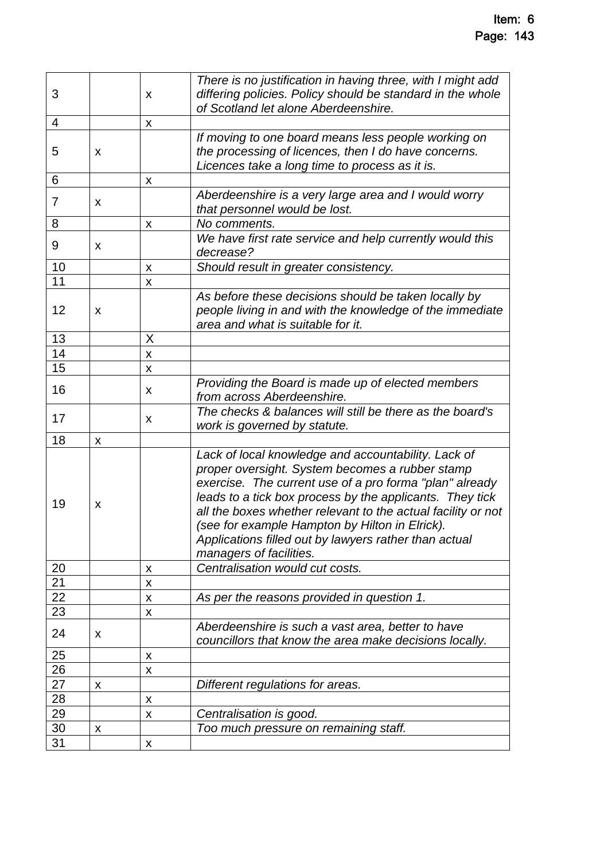| 3               |   | X                  | There is no justification in having three, with I might add<br>differing policies. Policy should be standard in the whole<br>of Scotland let alone Aberdeenshire.                                                                                                                                                                                                                                                                   |
|-----------------|---|--------------------|-------------------------------------------------------------------------------------------------------------------------------------------------------------------------------------------------------------------------------------------------------------------------------------------------------------------------------------------------------------------------------------------------------------------------------------|
| 4               |   | $\pmb{\mathsf{X}}$ |                                                                                                                                                                                                                                                                                                                                                                                                                                     |
| 5               | X |                    | If moving to one board means less people working on<br>the processing of licences, then I do have concerns.<br>Licences take a long time to process as it is.                                                                                                                                                                                                                                                                       |
| 6               |   | $\pmb{\mathsf{X}}$ |                                                                                                                                                                                                                                                                                                                                                                                                                                     |
| 7               | X |                    | Aberdeenshire is a very large area and I would worry<br>that personnel would be lost.                                                                                                                                                                                                                                                                                                                                               |
| 8               |   | X                  | No comments.                                                                                                                                                                                                                                                                                                                                                                                                                        |
| 9               | X |                    | We have first rate service and help currently would this<br>decrease?                                                                                                                                                                                                                                                                                                                                                               |
| 10              |   | X                  | Should result in greater consistency.                                                                                                                                                                                                                                                                                                                                                                                               |
| 11              |   | $\pmb{\mathsf{X}}$ |                                                                                                                                                                                                                                                                                                                                                                                                                                     |
| 12              | X |                    | As before these decisions should be taken locally by<br>people living in and with the knowledge of the immediate<br>area and what is suitable for it.                                                                                                                                                                                                                                                                               |
| 13              |   | X                  |                                                                                                                                                                                                                                                                                                                                                                                                                                     |
| 14              |   | X                  |                                                                                                                                                                                                                                                                                                                                                                                                                                     |
| 15              |   | X                  |                                                                                                                                                                                                                                                                                                                                                                                                                                     |
| 16              |   | X                  | Providing the Board is made up of elected members<br>from across Aberdeenshire.                                                                                                                                                                                                                                                                                                                                                     |
| 17              |   | X                  | The checks & balances will still be there as the board's<br>work is governed by statute.                                                                                                                                                                                                                                                                                                                                            |
| 18              | X |                    |                                                                                                                                                                                                                                                                                                                                                                                                                                     |
| 19              | x |                    | Lack of local knowledge and accountability. Lack of<br>proper oversight. System becomes a rubber stamp<br>exercise. The current use of a pro forma "plan" already<br>leads to a tick box process by the applicants. They tick<br>all the boxes whether relevant to the actual facility or not<br>(see for example Hampton by Hilton in Elrick).<br>Applications filled out by lawyers rather than actual<br>managers of facilities. |
| 20              |   | X                  | Centralisation would cut costs.                                                                                                                                                                                                                                                                                                                                                                                                     |
| $\overline{21}$ |   | X                  |                                                                                                                                                                                                                                                                                                                                                                                                                                     |
| 22              |   | X                  | As per the reasons provided in question 1.                                                                                                                                                                                                                                                                                                                                                                                          |
| 23              |   | $\pmb{\mathsf{X}}$ |                                                                                                                                                                                                                                                                                                                                                                                                                                     |
| 24              | X |                    | Aberdeenshire is such a vast area, better to have<br>councillors that know the area make decisions locally.                                                                                                                                                                                                                                                                                                                         |
| 25              |   | $\pmb{\mathsf{X}}$ |                                                                                                                                                                                                                                                                                                                                                                                                                                     |
| 26              |   | $\pmb{\mathsf{X}}$ |                                                                                                                                                                                                                                                                                                                                                                                                                                     |
| 27              | X |                    | Different regulations for areas.                                                                                                                                                                                                                                                                                                                                                                                                    |
| 28              |   | X                  |                                                                                                                                                                                                                                                                                                                                                                                                                                     |
| 29              |   | X                  | Centralisation is good.                                                                                                                                                                                                                                                                                                                                                                                                             |
| 30              | X |                    | Too much pressure on remaining staff.                                                                                                                                                                                                                                                                                                                                                                                               |
| 31              |   | X                  |                                                                                                                                                                                                                                                                                                                                                                                                                                     |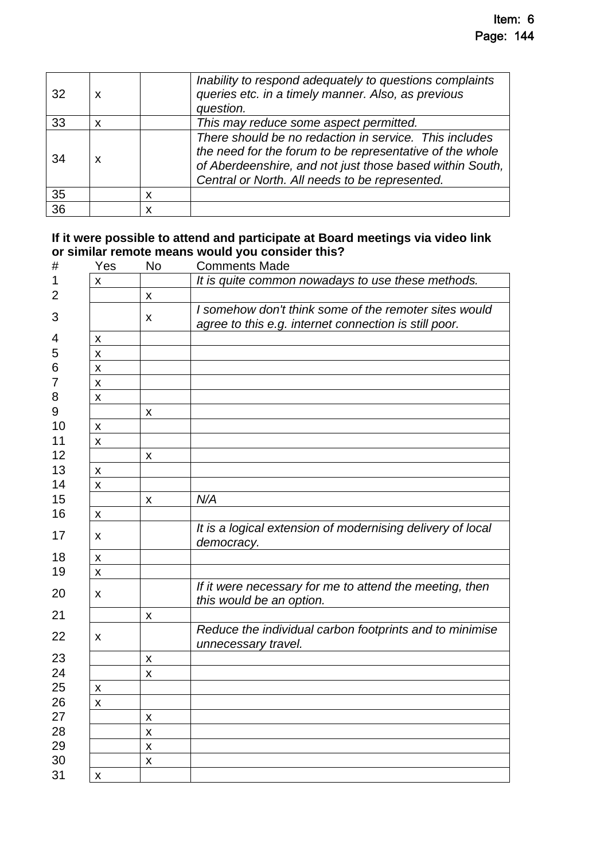| 32 | X |   | Inability to respond adequately to questions complaints<br>queries etc. in a timely manner. Also, as previous<br>question.                                                                                                       |
|----|---|---|----------------------------------------------------------------------------------------------------------------------------------------------------------------------------------------------------------------------------------|
| 33 | X |   | This may reduce some aspect permitted.                                                                                                                                                                                           |
| 34 | X |   | There should be no redaction in service. This includes<br>the need for the forum to be representative of the whole<br>of Aberdeenshire, and not just those based within South,<br>Central or North. All needs to be represented. |
| 35 |   | X |                                                                                                                                                                                                                                  |
| 36 |   | x |                                                                                                                                                                                                                                  |

#### **If it were possible to attend and participate at Board meetings via video link or similar remote means would you consider this?**

| Yes                       | No                 | <b>Comments Made</b>                                       |
|---------------------------|--------------------|------------------------------------------------------------|
| x                         |                    | It is quite common nowadays to use these methods.          |
|                           | $\pmb{\mathsf{X}}$ |                                                            |
|                           |                    | I somehow don't think some of the remoter sites would      |
|                           | X                  | agree to this e.g. internet connection is still poor.      |
| $\pmb{\mathsf{X}}$        |                    |                                                            |
| $\pmb{\mathsf{X}}$        |                    |                                                            |
| $\pmb{\mathsf{X}}$        |                    |                                                            |
| $\pmb{\mathsf{X}}$        |                    |                                                            |
| $\boldsymbol{\mathsf{X}}$ |                    |                                                            |
|                           | $\pmb{\mathsf{X}}$ |                                                            |
| $\pmb{\mathsf{X}}$        |                    |                                                            |
| X                         |                    |                                                            |
|                           | X                  |                                                            |
| $\pmb{\mathsf{X}}$        |                    |                                                            |
| $\boldsymbol{\mathsf{x}}$ |                    |                                                            |
|                           | X                  | N/A                                                        |
| X                         |                    |                                                            |
|                           |                    | It is a logical extension of modernising delivery of local |
| X                         |                    | democracy.                                                 |
| X                         |                    |                                                            |
| $\pmb{\mathsf{X}}$        |                    |                                                            |
|                           |                    | If it were necessary for me to attend the meeting, then    |
| X                         |                    | this would be an option.                                   |
|                           | $\pmb{\mathsf{X}}$ |                                                            |
| X                         |                    | Reduce the individual carbon footprints and to minimise    |
|                           |                    | unnecessary travel.                                        |
|                           | $\pmb{\mathsf{X}}$ |                                                            |
|                           | $\mathsf{x}$       |                                                            |
| X                         |                    |                                                            |
| X                         |                    |                                                            |
|                           | $\pmb{\mathsf{X}}$ |                                                            |
|                           | $\pmb{\mathsf{X}}$ |                                                            |
|                           | $\pmb{\mathsf{X}}$ |                                                            |
|                           | X                  |                                                            |
| X                         |                    |                                                            |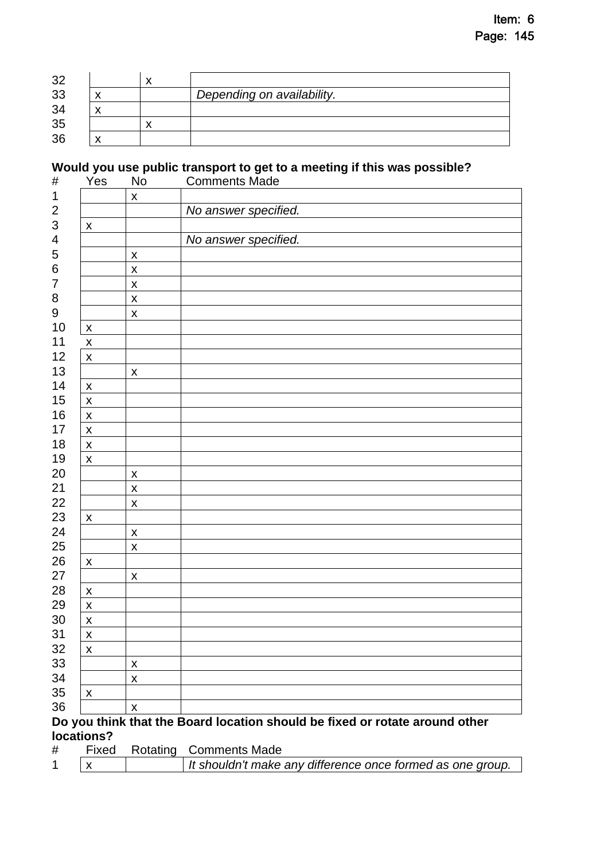| 32 |  |                            |
|----|--|----------------------------|
| 33 |  | Depending on availability. |
| 34 |  |                            |
| 35 |  |                            |
| 36 |  |                            |

# **Would you use public transport to get to a meeting if this was possible?**

| #                | Yes                | No                 | <b>Comments Made</b>                                                        |
|------------------|--------------------|--------------------|-----------------------------------------------------------------------------|
| $\mathbf 1$      |                    | $\pmb{\mathsf{X}}$ |                                                                             |
| $\overline{c}$   |                    |                    | No answer specified.                                                        |
| $\mathfrak{S}$   | $\pmb{\mathsf{X}}$ |                    |                                                                             |
| 4                |                    |                    | No answer specified.                                                        |
| 5                |                    | $\pmb{\mathsf{X}}$ |                                                                             |
| $\,6$            |                    | $\pmb{\mathsf{X}}$ |                                                                             |
| $\overline{7}$   |                    | $\pmb{\mathsf{X}}$ |                                                                             |
| $\bf 8$          |                    | $\pmb{\mathsf{X}}$ |                                                                             |
| $\boldsymbol{9}$ |                    | $\pmb{\mathsf{X}}$ |                                                                             |
| 10               | $\pmb{\mathsf{X}}$ |                    |                                                                             |
| 11               | $\pmb{\mathsf{X}}$ |                    |                                                                             |
| 12               | $\pmb{\mathsf{X}}$ |                    |                                                                             |
| 13               |                    | $\pmb{\mathsf{X}}$ |                                                                             |
| 14               | X                  |                    |                                                                             |
| 15               | $\pmb{\mathsf{X}}$ |                    |                                                                             |
| 16               | $\pmb{\mathsf{X}}$ |                    |                                                                             |
| 17               | $\pmb{\mathsf{X}}$ |                    |                                                                             |
| 18               | $\pmb{\mathsf{X}}$ |                    |                                                                             |
| 19               | $\pmb{\mathsf{X}}$ |                    |                                                                             |
| 20               |                    | $\pmb{\mathsf{X}}$ |                                                                             |
| 21               |                    | $\pmb{\mathsf{X}}$ |                                                                             |
| 22               |                    | X                  |                                                                             |
| 23               | $\pmb{\mathsf{X}}$ |                    |                                                                             |
| 24               |                    | $\pmb{\mathsf{X}}$ |                                                                             |
| 25               |                    | $\pmb{\mathsf{X}}$ |                                                                             |
| 26               | $\pmb{\mathsf{X}}$ |                    |                                                                             |
| 27               |                    | $\pmb{\mathsf{X}}$ |                                                                             |
| 28               | $\pmb{\mathsf{X}}$ |                    |                                                                             |
| 29               | $\pmb{\mathsf{X}}$ |                    |                                                                             |
| 30               | $\pmb{\mathsf{X}}$ |                    |                                                                             |
| 31               | $\pmb{\mathsf{X}}$ |                    |                                                                             |
| 32               | $\pmb{\mathsf{X}}$ |                    |                                                                             |
| 33               |                    | $\pmb{\mathsf{X}}$ |                                                                             |
| 34               |                    | $\pmb{\mathsf{X}}$ |                                                                             |
| 35               | $\pmb{\mathsf{X}}$ |                    |                                                                             |
| 36               |                    | $\mathsf{x}$       |                                                                             |
|                  |                    |                    | Do you think that the Board location should be fixed or rotate around other |

# **locations?**

| # |  | Fixed Rotating Comments Made                               |
|---|--|------------------------------------------------------------|
|   |  | It shouldn't make any difference once formed as one group. |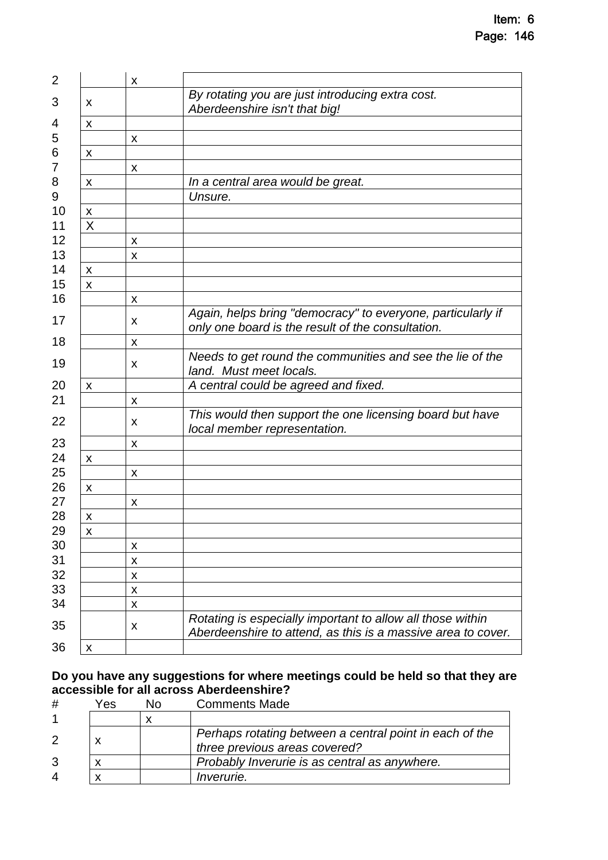| $\overline{2}$ |                    | X |                                                                                                                            |
|----------------|--------------------|---|----------------------------------------------------------------------------------------------------------------------------|
| 3              | X                  |   | By rotating you are just introducing extra cost.<br>Aberdeenshire isn't that big!                                          |
| 4              | X                  |   |                                                                                                                            |
| 5              |                    | X |                                                                                                                            |
| 6              | X                  |   |                                                                                                                            |
| 7              |                    | X |                                                                                                                            |
| 8              | X                  |   | In a central area would be great.                                                                                          |
| 9              |                    |   | Unsure.                                                                                                                    |
| 10             | X                  |   |                                                                                                                            |
| 11             | X                  |   |                                                                                                                            |
| 12             |                    | X |                                                                                                                            |
| 13             |                    | X |                                                                                                                            |
| 14             | X                  |   |                                                                                                                            |
| 15             | X                  |   |                                                                                                                            |
| 16             |                    | X |                                                                                                                            |
| 17             |                    | X | Again, helps bring "democracy" to everyone, particularly if<br>only one board is the result of the consultation.           |
| 18             |                    | X |                                                                                                                            |
| 19             |                    | X | Needs to get round the communities and see the lie of the<br>land. Must meet locals.                                       |
| 20             | X                  |   | A central could be agreed and fixed.                                                                                       |
| 21             |                    | X |                                                                                                                            |
| 22             |                    | X | This would then support the one licensing board but have<br>local member representation.                                   |
| 23             |                    | X |                                                                                                                            |
| 24             | X                  |   |                                                                                                                            |
| 25             |                    | X |                                                                                                                            |
| 26             | X                  |   |                                                                                                                            |
| 27             |                    | X |                                                                                                                            |
| 28             | X                  |   |                                                                                                                            |
| 29             | X                  |   |                                                                                                                            |
| 30             |                    | X |                                                                                                                            |
| 31             |                    | X |                                                                                                                            |
| 32             |                    | X |                                                                                                                            |
| 33             |                    | X |                                                                                                                            |
| 34             |                    | X |                                                                                                                            |
| 35             |                    | X | Rotating is especially important to allow all those within<br>Aberdeenshire to attend, as this is a massive area to cover. |
| 36             | $\pmb{\mathsf{X}}$ |   |                                                                                                                            |

#### **Do you have any suggestions for where meetings could be held so that they are accessible for all across Aberdeenshire?**

| #                         | Yes | Nο | <b>Comments Made</b>                                                                     |
|---------------------------|-----|----|------------------------------------------------------------------------------------------|
|                           |     |    |                                                                                          |
|                           |     |    | Perhaps rotating between a central point in each of the<br>three previous areas covered? |
| 3                         |     |    | Probably Inverurie is as central as anywhere.                                            |
| $\boldsymbol{\varLambda}$ |     |    | <i>Inverurie.</i>                                                                        |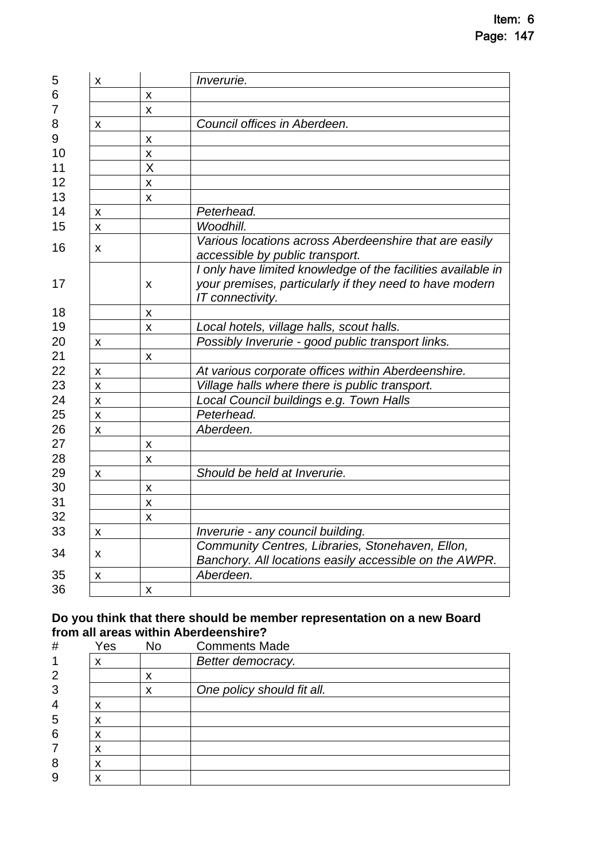| Various locations across Aberdeenshire that are easily                                                                  |
|-------------------------------------------------------------------------------------------------------------------------|
| I only have limited knowledge of the facilities available in<br>your premises, particularly if they need to have modern |
|                                                                                                                         |
|                                                                                                                         |
|                                                                                                                         |
|                                                                                                                         |
|                                                                                                                         |
|                                                                                                                         |
|                                                                                                                         |
|                                                                                                                         |
|                                                                                                                         |
|                                                                                                                         |
|                                                                                                                         |
|                                                                                                                         |
|                                                                                                                         |
|                                                                                                                         |
|                                                                                                                         |
|                                                                                                                         |
| Community Centres, Libraries, Stonehaven, Ellon,<br>Banchory. All locations easily accessible on the AWPR.              |
|                                                                                                                         |
|                                                                                                                         |
|                                                                                                                         |

#### **Do you think that there should be member representation on a new Board from all areas within Aberdeenshire?**

| #              | Yes    | <b>No</b> | <b>Comments Made</b>       |
|----------------|--------|-----------|----------------------------|
| 1              | X      |           | Better democracy.          |
| $\overline{2}$ |        | ́         |                            |
| 3              |        | ∧         | One policy should fit all. |
| 4              | х      |           |                            |
| 5              | х      |           |                            |
| 6              | х      |           |                            |
| 7              |        |           |                            |
| 8              | v<br>́ |           |                            |
| 9              | v      |           |                            |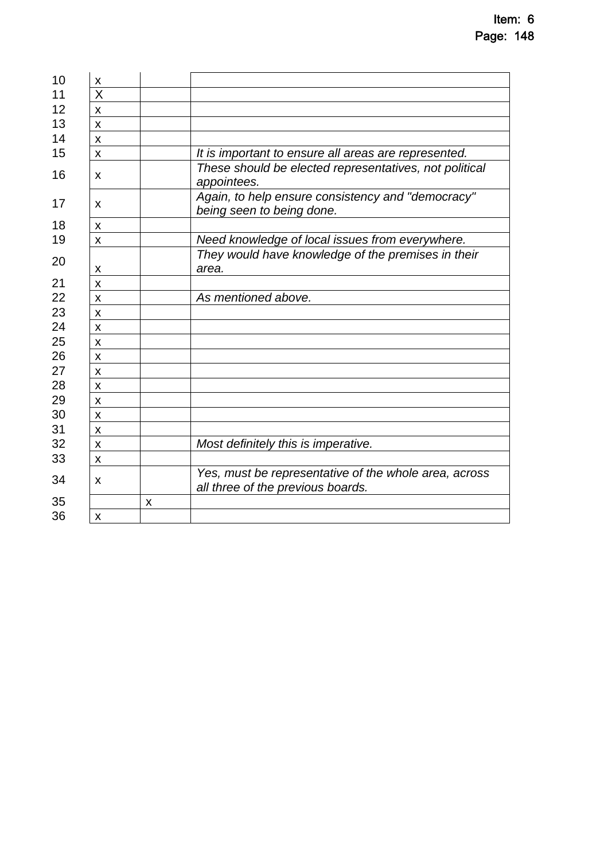| X                         |                       |                                                                                            |
|---------------------------|-----------------------|--------------------------------------------------------------------------------------------|
| $\overline{\mathsf{X}}$   |                       |                                                                                            |
| X                         |                       |                                                                                            |
| X                         |                       |                                                                                            |
| X                         |                       |                                                                                            |
| X                         |                       | It is important to ensure all areas are represented.                                       |
| x                         |                       | These should be elected representatives, not political<br>appointees.                      |
| X                         |                       | Again, to help ensure consistency and "democracy"<br>being seen to being done.             |
| X                         |                       |                                                                                            |
| X                         |                       | Need knowledge of local issues from everywhere.                                            |
|                           |                       | They would have knowledge of the premises in their<br>area.                                |
|                           |                       |                                                                                            |
|                           |                       | As mentioned above.                                                                        |
| X                         |                       |                                                                                            |
|                           |                       |                                                                                            |
|                           |                       |                                                                                            |
| X                         |                       |                                                                                            |
| X                         |                       |                                                                                            |
| X                         |                       |                                                                                            |
| X                         |                       |                                                                                            |
| X                         |                       |                                                                                            |
| X                         |                       |                                                                                            |
| X                         |                       | Most definitely this is imperative.                                                        |
| $\boldsymbol{\mathsf{x}}$ |                       |                                                                                            |
| X                         |                       | Yes, must be representative of the whole area, across<br>all three of the previous boards. |
|                           | $\pmb{\mathsf{X}}$    |                                                                                            |
| X                         |                       |                                                                                            |
|                           | X<br>X<br>X<br>X<br>X |                                                                                            |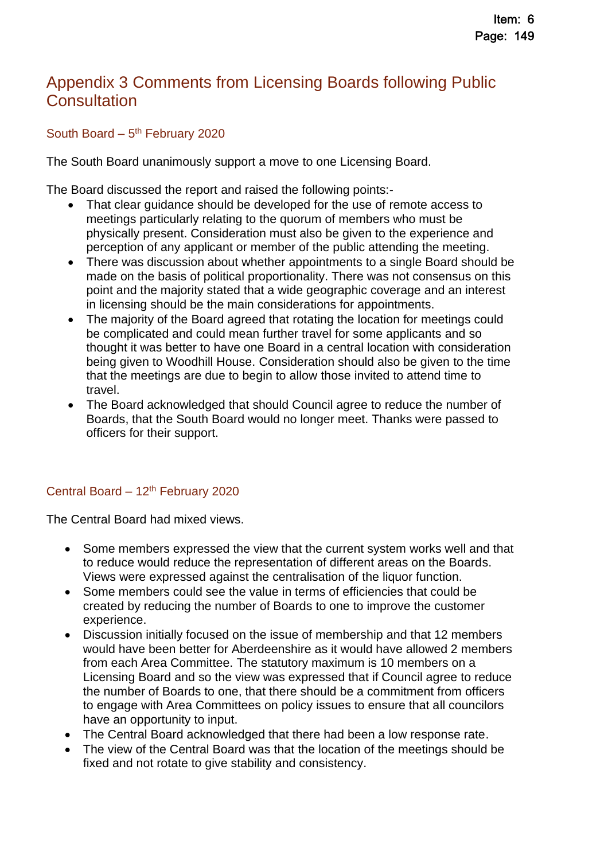# <span id="page-28-0"></span>Appendix 3 Comments from Licensing Boards following Public **Consultation**

South Board – 5<sup>th</sup> February 2020

The South Board unanimously support a move to one Licensing Board.

The Board discussed the report and raised the following points:-

- That clear guidance should be developed for the use of remote access to meetings particularly relating to the quorum of members who must be physically present. Consideration must also be given to the experience and perception of any applicant or member of the public attending the meeting.
- There was discussion about whether appointments to a single Board should be made on the basis of political proportionality. There was not consensus on this point and the majority stated that a wide geographic coverage and an interest in licensing should be the main considerations for appointments.
- The majority of the Board agreed that rotating the location for meetings could be complicated and could mean further travel for some applicants and so thought it was better to have one Board in a central location with consideration being given to Woodhill House. Consideration should also be given to the time that the meetings are due to begin to allow those invited to attend time to travel.
- The Board acknowledged that should Council agree to reduce the number of Boards, that the South Board would no longer meet. Thanks were passed to officers for their support.

### Central Board - 12<sup>th</sup> February 2020

The Central Board had mixed views.

- Some members expressed the view that the current system works well and that to reduce would reduce the representation of different areas on the Boards. Views were expressed against the centralisation of the liquor function.
- Some members could see the value in terms of efficiencies that could be created by reducing the number of Boards to one to improve the customer experience.
- Discussion initially focused on the issue of membership and that 12 members would have been better for Aberdeenshire as it would have allowed 2 members from each Area Committee. The statutory maximum is 10 members on a Licensing Board and so the view was expressed that if Council agree to reduce the number of Boards to one, that there should be a commitment from officers to engage with Area Committees on policy issues to ensure that all councilors have an opportunity to input.
- The Central Board acknowledged that there had been a low response rate.
- The view of the Central Board was that the location of the meetings should be fixed and not rotate to give stability and consistency.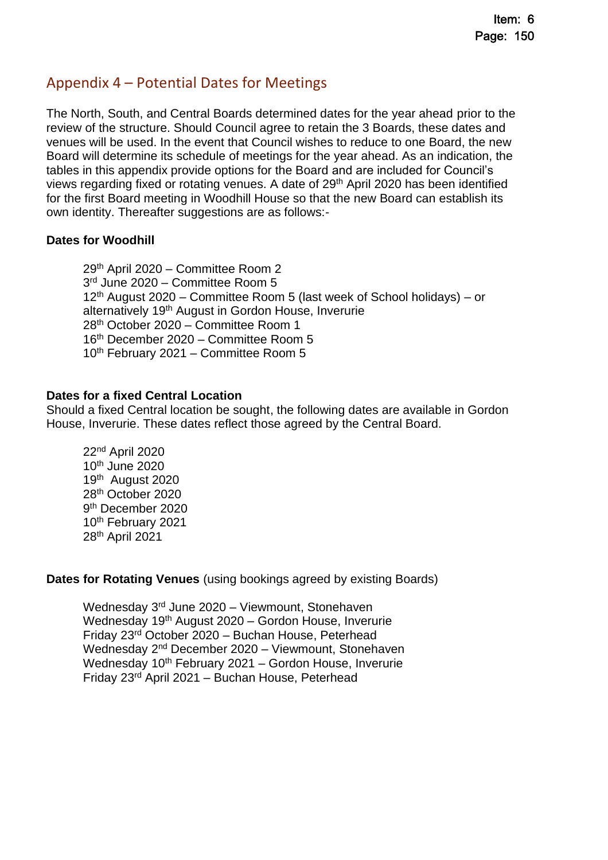# <span id="page-29-0"></span>Appendix 4 – Potential Dates for Meetings

The North, South, and Central Boards determined dates for the year ahead prior to the review of the structure. Should Council agree to retain the 3 Boards, these dates and venues will be used. In the event that Council wishes to reduce to one Board, the new Board will determine its schedule of meetings for the year ahead. As an indication, the tables in this appendix provide options for the Board and are included for Council's views regarding fixed or rotating venues. A date of 29th April 2020 has been identified for the first Board meeting in Woodhill House so that the new Board can establish its own identity. Thereafter suggestions are as follows:-

#### **Dates for Woodhill**

th April 2020 – Committee Room 2 rd June 2020 – Committee Room 5 th August 2020 – Committee Room 5 (last week of School holidays) – or alternatively 19th August in Gordon House, Inverurie th October 2020 – Committee Room 1 th December 2020 – Committee Room 5 10<sup>th</sup> February 2021 – Committee Room 5

#### **Dates for a fixed Central Location**

Should a fixed Central location be sought, the following dates are available in Gordon House, Inverurie. These dates reflect those agreed by the Central Board.

nd April 2020 th June 2020 th August 2020 th October 2020 th December 2020 10<sup>th</sup> February 2021 th April 2021

**Dates for Rotating Venues** (using bookings agreed by existing Boards)

Wednesday 3<sup>rd</sup> June 2020 – Viewmount, Stonehaven Wednesday 19th August 2020 – Gordon House, Inverurie Friday 23rd October 2020 – Buchan House, Peterhead Wednesday 2<sup>nd</sup> December 2020 – Viewmount, Stonehaven Wednesday  $10<sup>th</sup>$  February 2021 – Gordon House, Inverurie Friday 23rd April 2021 – Buchan House, Peterhead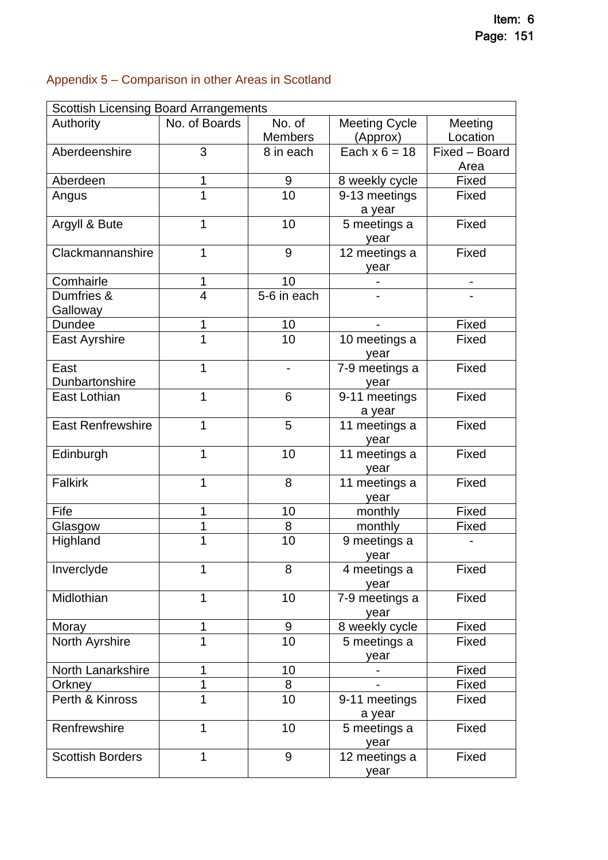# <span id="page-30-0"></span>Appendix 5 – Comparison in other Areas in Scotland

| <b>Scottish Licensing Board Arrangements</b> |                |                |                      |               |
|----------------------------------------------|----------------|----------------|----------------------|---------------|
| Authority                                    | No. of Boards  | No. of         | <b>Meeting Cycle</b> | Meeting       |
|                                              |                | <b>Members</b> | (Approx)             | Location      |
| Aberdeenshire                                | 3              | 8 in each      | Each $x 6 = 18$      | Fixed - Board |
|                                              |                |                |                      | Area          |
| Aberdeen                                     | 1              | 9              | 8 weekly cycle       | Fixed         |
| Angus                                        | 1              | 10             | 9-13 meetings        | Fixed         |
|                                              |                |                | a year               |               |
| Argyll & Bute                                | 1              | 10             | 5 meetings a         | Fixed         |
|                                              |                |                | year                 |               |
| Clackmannanshire                             | 1              | 9              | 12 meetings a        | Fixed         |
|                                              |                |                | year                 |               |
| Comhairle                                    | 1              | 10             |                      |               |
| Dumfries &                                   | $\overline{4}$ | 5-6 in each    |                      |               |
| Galloway                                     |                |                |                      |               |
| Dundee                                       | 1              | 10             |                      | Fixed         |
| East Ayrshire                                | 1              | 10             | 10 meetings a        | Fixed         |
|                                              |                |                | year                 |               |
| East                                         | 1              |                | 7-9 meetings a       | Fixed         |
| Dunbartonshire                               |                |                | year                 |               |
| East Lothian                                 | 1              | 6              | 9-11 meetings        | Fixed         |
|                                              |                |                | a year               |               |
| <b>East Renfrewshire</b>                     | 1              | 5              | 11 meetings a        | Fixed         |
|                                              |                |                | year                 |               |
| Edinburgh                                    | 1              | 10             | 11 meetings a        | Fixed         |
|                                              |                |                | year                 |               |
| <b>Falkirk</b>                               | 1              | 8              | 11 meetings a        | Fixed         |
|                                              |                |                | year                 |               |
| Fife                                         | 1              | 10             | monthly              | Fixed         |
| Glasgow                                      | 1              | 8              | monthly              | Fixed         |
| Highland                                     | 1              | 10             | 9 meetings a         |               |
|                                              |                |                | vear                 |               |
| Inverclyde                                   | 1              | 8              | 4 meetings a         | Fixed         |
|                                              |                |                | year                 |               |
| Midlothian                                   | 1              | 10             | 7-9 meetings a       | Fixed         |
|                                              |                |                | year                 |               |
| Moray                                        | 1              | 9              | 8 weekly cycle       | Fixed         |
| North Ayrshire                               | 1              | 10             | 5 meetings a         | Fixed         |
|                                              |                |                | year                 |               |
| North Lanarkshire                            | 1              | 10             |                      | Fixed         |
| Orkney                                       | 1              | 8              |                      | Fixed         |
| Perth & Kinross                              | 1              | 10             | 9-11 meetings        | Fixed         |
|                                              |                |                | a year               |               |
| Renfrewshire                                 | 1              | 10             | 5 meetings a         | Fixed         |
|                                              |                |                | year                 |               |
| <b>Scottish Borders</b>                      | 1              | $9\,$          | 12 meetings a        | Fixed         |
|                                              |                |                | year                 |               |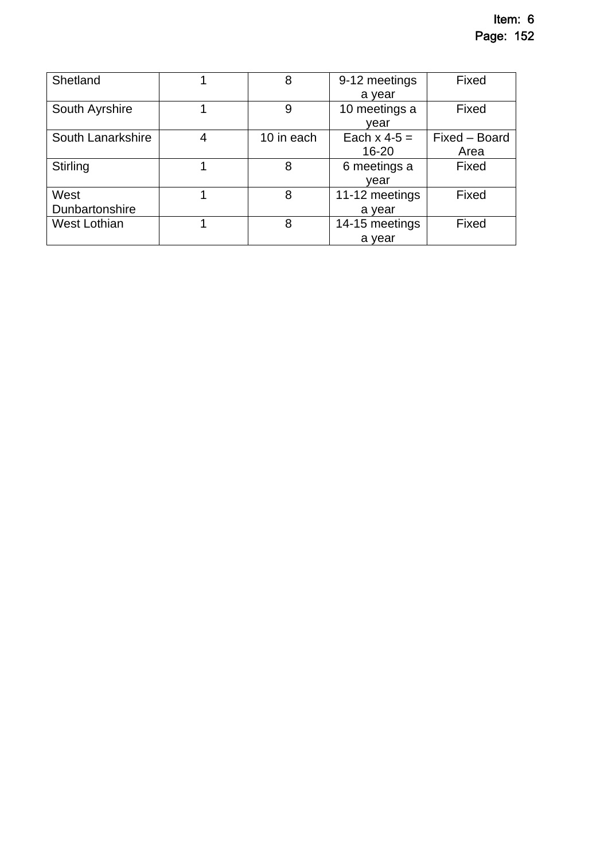| Shetland          |   | 8          | 9-12 meetings  | Fixed         |
|-------------------|---|------------|----------------|---------------|
|                   |   |            | a year         |               |
| South Ayrshire    |   | 9          | 10 meetings a  | Fixed         |
|                   |   |            | vear           |               |
| South Lanarkshire | 4 | 10 in each | Each $x$ 4-5 = | Fixed - Board |
|                   |   |            | $16 - 20$      | Area          |
| Stirling          |   | 8          | 6 meetings a   | Fixed         |
|                   |   |            | vear           |               |
| West              |   | 8          | 11-12 meetings | Fixed         |
| Dunbartonshire    |   |            | a vear         |               |
| West Lothian      |   | 8          | 14-15 meetings | Fixed         |
|                   |   |            | a vear         |               |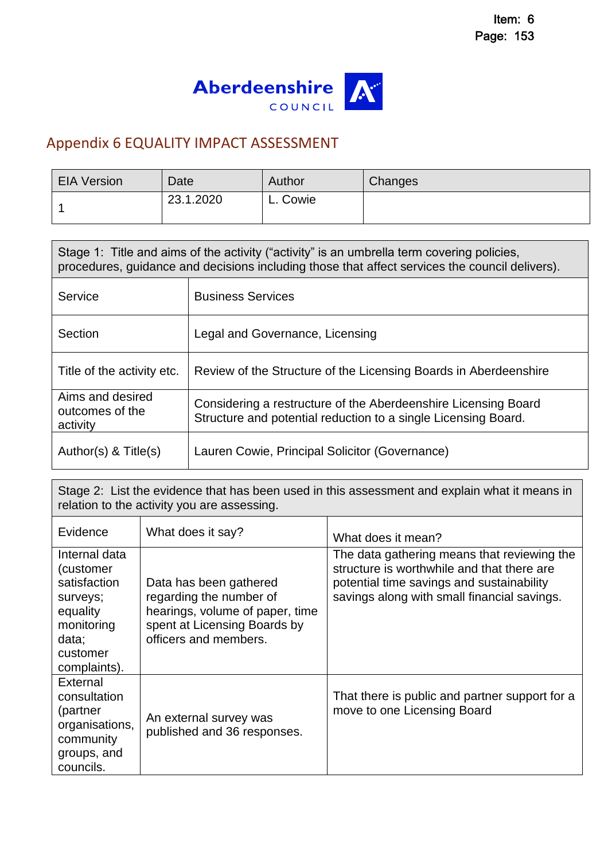

# <span id="page-32-0"></span>Appendix 6 EQUALITY IMPACT ASSESSMENT

| <b>EIA Version</b> | Date      | Author   | <b>Changes</b> |
|--------------------|-----------|----------|----------------|
|                    | 23.1.2020 | L. Cowie |                |

| Stage 1: Title and aims of the activity ("activity" is an umbrella term covering policies,<br>procedures, guidance and decisions including those that affect services the council delivers). |                                                                                                                                  |  |  |
|----------------------------------------------------------------------------------------------------------------------------------------------------------------------------------------------|----------------------------------------------------------------------------------------------------------------------------------|--|--|
| Service                                                                                                                                                                                      | <b>Business Services</b>                                                                                                         |  |  |
| Section                                                                                                                                                                                      | Legal and Governance, Licensing                                                                                                  |  |  |
| Title of the activity etc.                                                                                                                                                                   | Review of the Structure of the Licensing Boards in Aberdeenshire                                                                 |  |  |
| Aims and desired<br>outcomes of the<br>activity                                                                                                                                              | Considering a restructure of the Aberdeenshire Licensing Board<br>Structure and potential reduction to a single Licensing Board. |  |  |
| Author(s) $<$ Title(s)                                                                                                                                                                       | Lauren Cowie, Principal Solicitor (Governance)                                                                                   |  |  |

Stage 2: List the evidence that has been used in this assessment and explain what it means in relation to the activity you are assessing.

| Evidence                                                                                                              | What does it say?                                                                                                                             | What does it mean?                                                                                                                                                                    |
|-----------------------------------------------------------------------------------------------------------------------|-----------------------------------------------------------------------------------------------------------------------------------------------|---------------------------------------------------------------------------------------------------------------------------------------------------------------------------------------|
| Internal data<br>(customer<br>satisfaction<br>surveys;<br>equality<br>monitoring<br>data;<br>customer<br>complaints). | Data has been gathered<br>regarding the number of<br>hearings, volume of paper, time<br>spent at Licensing Boards by<br>officers and members. | The data gathering means that reviewing the<br>structure is worthwhile and that there are<br>potential time savings and sustainability<br>savings along with small financial savings. |
| External<br>consultation<br>(partner<br>organisations,<br>community<br>groups, and<br>councils.                       | An external survey was<br>published and 36 responses.                                                                                         | That there is public and partner support for a<br>move to one Licensing Board                                                                                                         |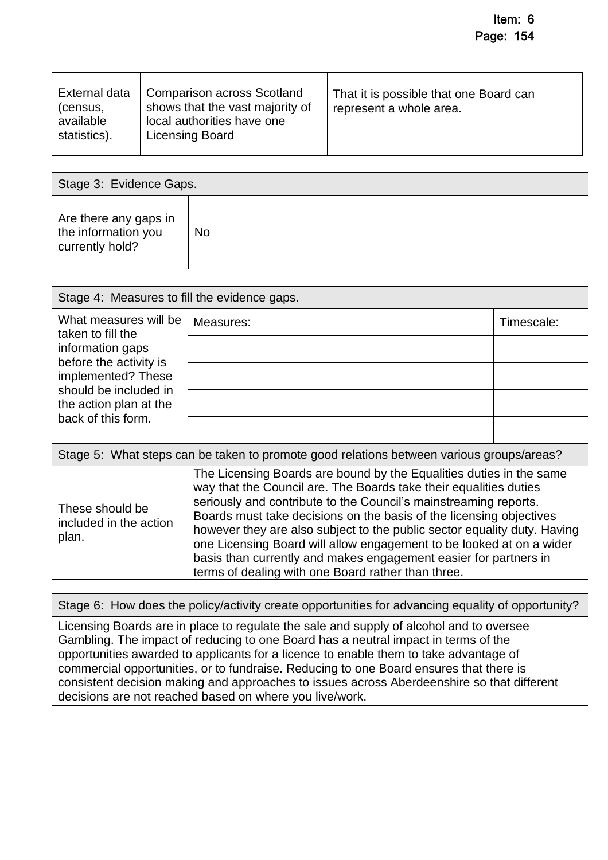| External data<br>(census,<br>available<br>statistics). | <b>Comparison across Scotland</b><br>shows that the vast majority of<br>local authorities have one<br>Licensing Board | That it is possible that one Board can<br>represent a whole area. |
|--------------------------------------------------------|-----------------------------------------------------------------------------------------------------------------------|-------------------------------------------------------------------|
|                                                        |                                                                                                                       |                                                                   |

| Stage 3: Evidence Gaps.                                         |    |  |
|-----------------------------------------------------------------|----|--|
| Are there any gaps in<br>the information you<br>currently hold? | No |  |

| Stage 4: Measures to fill the evidence gaps.                                             |                                                                                                                                                                                                                                                                                                                                                                                                                                                                                                                                                                   |            |  |  |
|------------------------------------------------------------------------------------------|-------------------------------------------------------------------------------------------------------------------------------------------------------------------------------------------------------------------------------------------------------------------------------------------------------------------------------------------------------------------------------------------------------------------------------------------------------------------------------------------------------------------------------------------------------------------|------------|--|--|
| What measures will be<br>taken to fill the                                               | Measures:                                                                                                                                                                                                                                                                                                                                                                                                                                                                                                                                                         | Timescale: |  |  |
| information gaps                                                                         |                                                                                                                                                                                                                                                                                                                                                                                                                                                                                                                                                                   |            |  |  |
| before the activity is<br>implemented? These                                             |                                                                                                                                                                                                                                                                                                                                                                                                                                                                                                                                                                   |            |  |  |
| should be included in<br>the action plan at the                                          |                                                                                                                                                                                                                                                                                                                                                                                                                                                                                                                                                                   |            |  |  |
| back of this form.                                                                       |                                                                                                                                                                                                                                                                                                                                                                                                                                                                                                                                                                   |            |  |  |
| Stage 5: What steps can be taken to promote good relations between various groups/areas? |                                                                                                                                                                                                                                                                                                                                                                                                                                                                                                                                                                   |            |  |  |
| These should be<br>included in the action<br>plan.                                       | The Licensing Boards are bound by the Equalities duties in the same<br>way that the Council are. The Boards take their equalities duties<br>seriously and contribute to the Council's mainstreaming reports.<br>Boards must take decisions on the basis of the licensing objectives<br>however they are also subject to the public sector equality duty. Having<br>one Licensing Board will allow engagement to be looked at on a wider<br>basis than currently and makes engagement easier for partners in<br>terms of dealing with one Board rather than three. |            |  |  |

Stage 6: How does the policy/activity create opportunities for advancing equality of opportunity?

Licensing Boards are in place to regulate the sale and supply of alcohol and to oversee Gambling. The impact of reducing to one Board has a neutral impact in terms of the opportunities awarded to applicants for a licence to enable them to take advantage of commercial opportunities, or to fundraise. Reducing to one Board ensures that there is consistent decision making and approaches to issues across Aberdeenshire so that different decisions are not reached based on where you live/work.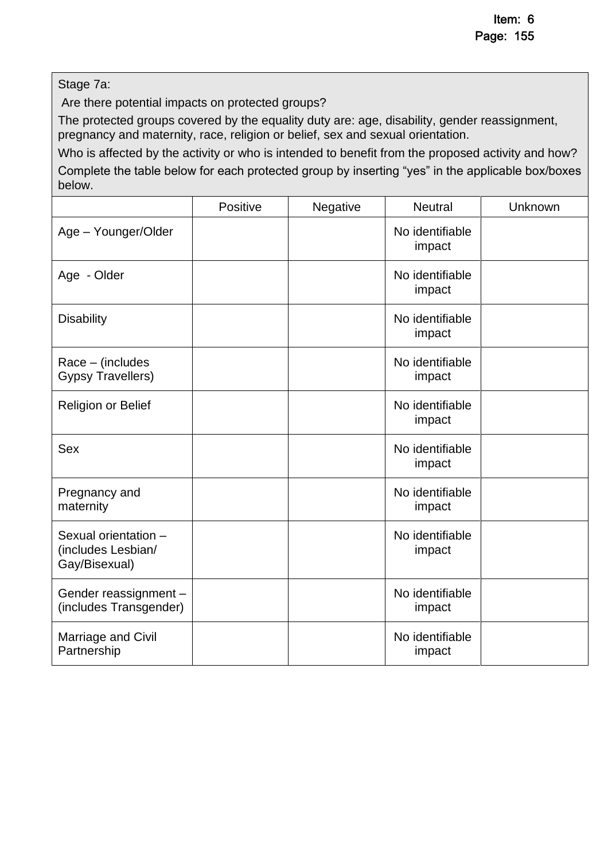Stage 7a:

below.

Are there potential impacts on protected groups?

The protected groups covered by the equality duty are: age, disability, gender reassignment, pregnancy and maternity, race, religion or belief, sex and sexual orientation.

Who is affected by the activity or who is intended to benefit from the proposed activity and how? Complete the table below for each protected group by inserting "yes" in the applicable box/boxes

|                                                             | Positive | Negative | <b>Neutral</b>            | Unknown |
|-------------------------------------------------------------|----------|----------|---------------------------|---------|
| Age - Younger/Older                                         |          |          | No identifiable<br>impact |         |
| Age - Older                                                 |          |          | No identifiable<br>impact |         |
| <b>Disability</b>                                           |          |          | No identifiable<br>impact |         |
| Race - (includes<br><b>Gypsy Travellers)</b>                |          |          | No identifiable<br>impact |         |
| <b>Religion or Belief</b>                                   |          |          | No identifiable<br>impact |         |
| <b>Sex</b>                                                  |          |          | No identifiable<br>impact |         |
| Pregnancy and<br>maternity                                  |          |          | No identifiable<br>impact |         |
| Sexual orientation -<br>(includes Lesbian/<br>Gay/Bisexual) |          |          | No identifiable<br>impact |         |
| Gender reassignment -<br>(includes Transgender)             |          |          | No identifiable<br>impact |         |
| Marriage and Civil<br>Partnership                           |          |          | No identifiable<br>impact |         |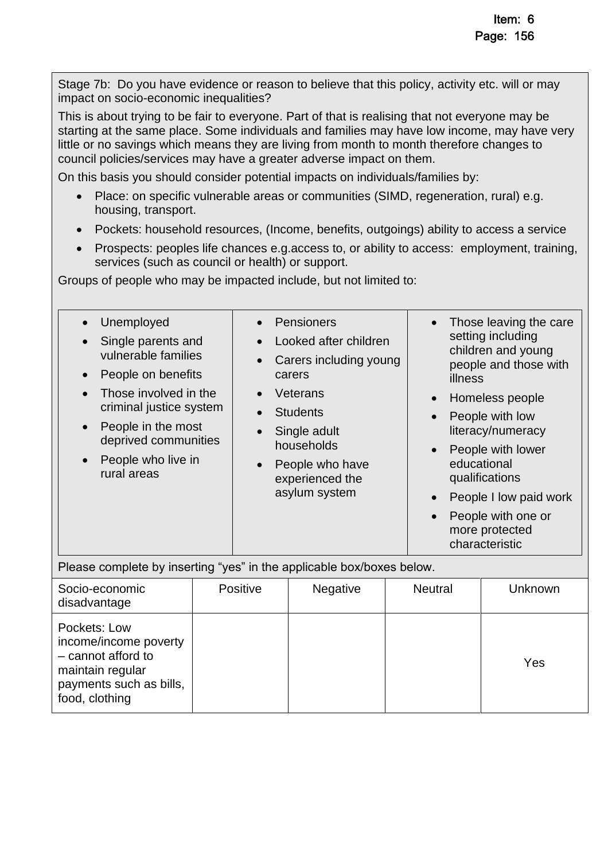Stage 7b: Do you have evidence or reason to believe that this policy, activity etc. will or may impact on socio-economic inequalities?

This is about trying to be fair to everyone. Part of that is realising that not everyone may be starting at the same place. Some individuals and families may have low income, may have very little or no savings which means they are living from month to month therefore changes to council policies/services may have a greater adverse impact on them.

On this basis you should consider potential impacts on individuals/families by:

- Place: on specific vulnerable areas or communities (SIMD, regeneration, rural) e.g. housing, transport.
- Pockets: household resources, (Income, benefits, outgoings) ability to access a service
- Prospects: peoples life chances e.g.access to, or ability to access: employment, training, services (such as council or health) or support.

Groups of people who may be impacted include, but not limited to:

food, clothing

| Unemployed<br>Single parents and<br>vulnerable families<br>People on benefits<br>Those involved in the<br>criminal justice system<br>People in the most<br>$\bullet$<br>deprived communities<br>People who live in<br>rural areas |  | Pensioners<br>Looked after children<br>Carers including young<br>carers<br>Veterans<br><b>Students</b><br>Single adult<br>households<br>People who have<br>experienced the<br>asylum system |          | Those leaving the care<br>setting including<br>children and young<br>people and those with<br>illness<br>Homeless people<br>People with low<br>literacy/numeracy<br>People with lower<br>educational<br>qualifications<br>People I low paid work<br>$\bullet$<br>People with one or<br>$\bullet$<br>more protected<br>characteristic |         |
|-----------------------------------------------------------------------------------------------------------------------------------------------------------------------------------------------------------------------------------|--|---------------------------------------------------------------------------------------------------------------------------------------------------------------------------------------------|----------|--------------------------------------------------------------------------------------------------------------------------------------------------------------------------------------------------------------------------------------------------------------------------------------------------------------------------------------|---------|
| Please complete by inserting "yes" in the applicable box/boxes below.                                                                                                                                                             |  |                                                                                                                                                                                             |          |                                                                                                                                                                                                                                                                                                                                      |         |
| Socio-economic<br>disadvantage                                                                                                                                                                                                    |  | Positive                                                                                                                                                                                    | Negative | <b>Neutral</b>                                                                                                                                                                                                                                                                                                                       | Unknown |
| Pockets: Low<br>income/income poverty<br>- cannot afford to<br>maintain regular<br>payments such as bills,                                                                                                                        |  |                                                                                                                                                                                             |          |                                                                                                                                                                                                                                                                                                                                      | Yes     |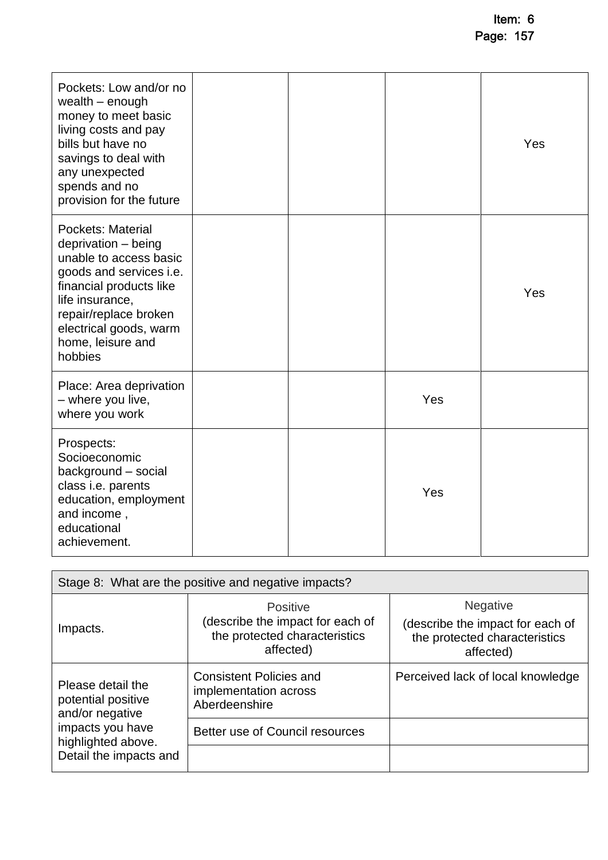| Pockets: Low and/or no<br>wealth $-$ enough<br>money to meet basic<br>living costs and pay<br>bills but have no<br>savings to deal with<br>any unexpected<br>spends and no<br>provision for the future                         |  |     | Yes |
|--------------------------------------------------------------------------------------------------------------------------------------------------------------------------------------------------------------------------------|--|-----|-----|
| Pockets: Material<br>deprivation - being<br>unable to access basic<br>goods and services i.e.<br>financial products like<br>life insurance,<br>repair/replace broken<br>electrical goods, warm<br>home, leisure and<br>hobbies |  |     | Yes |
| Place: Area deprivation<br>- where you live,<br>where you work                                                                                                                                                                 |  | Yes |     |
| Prospects:<br>Socioeconomic<br>background - social<br>class i.e. parents<br>education, employment<br>and income,<br>educational<br>achievement.                                                                                |  | Yes |     |

| Stage 8: What are the positive and negative impacts?       |                                                                                            |                                                                                                   |  |
|------------------------------------------------------------|--------------------------------------------------------------------------------------------|---------------------------------------------------------------------------------------------------|--|
| Impacts.                                                   | Positive<br>(describe the impact for each of<br>the protected characteristics<br>affected) | <b>Negative</b><br>(describe the impact for each of<br>the protected characteristics<br>affected) |  |
| Please detail the<br>potential positive<br>and/or negative | <b>Consistent Policies and</b><br>implementation across<br>Aberdeenshire                   | Perceived lack of local knowledge                                                                 |  |
| impacts you have<br>highlighted above.                     | Better use of Council resources                                                            |                                                                                                   |  |
| Detail the impacts and                                     |                                                                                            |                                                                                                   |  |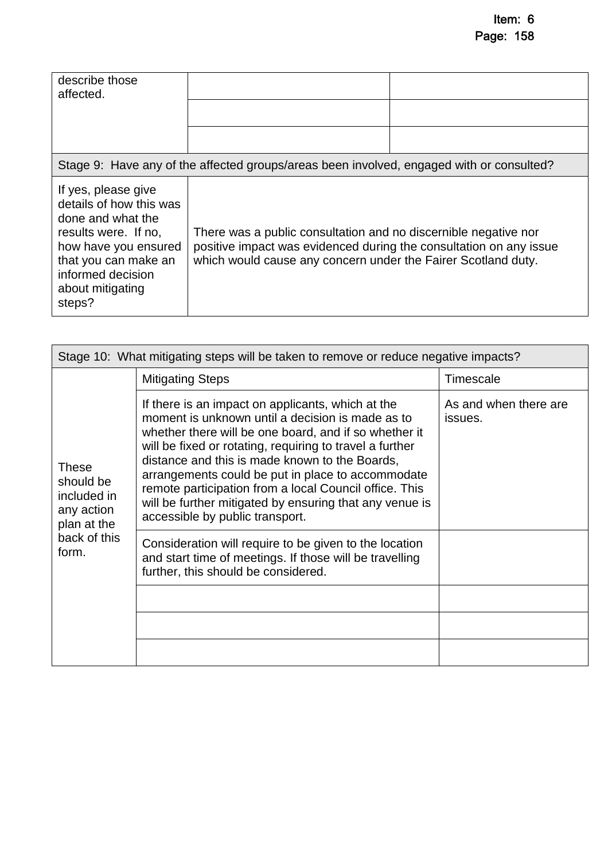| describe those<br>affected.                                                                                                                                                                    |                                                                                          |                                                                                                                                                                                                        |  |  |
|------------------------------------------------------------------------------------------------------------------------------------------------------------------------------------------------|------------------------------------------------------------------------------------------|--------------------------------------------------------------------------------------------------------------------------------------------------------------------------------------------------------|--|--|
|                                                                                                                                                                                                | Stage 9: Have any of the affected groups/areas been involved, engaged with or consulted? |                                                                                                                                                                                                        |  |  |
| If yes, please give<br>details of how this was<br>done and what the<br>results were. If no,<br>how have you ensured<br>that you can make an<br>informed decision<br>about mitigating<br>steps? |                                                                                          | There was a public consultation and no discernible negative nor<br>positive impact was evidenced during the consultation on any issue<br>which would cause any concern under the Fairer Scotland duty. |  |  |

| Stage 10: What mitigating steps will be taken to remove or reduce negative impacts?            |                                                                                                                                                                                                                                                                                                                                                                                                                                                                                           |                                  |  |
|------------------------------------------------------------------------------------------------|-------------------------------------------------------------------------------------------------------------------------------------------------------------------------------------------------------------------------------------------------------------------------------------------------------------------------------------------------------------------------------------------------------------------------------------------------------------------------------------------|----------------------------------|--|
| <b>These</b><br>should be<br>included in<br>any action<br>plan at the<br>back of this<br>form. | <b>Mitigating Steps</b>                                                                                                                                                                                                                                                                                                                                                                                                                                                                   | Timescale                        |  |
|                                                                                                | If there is an impact on applicants, which at the<br>moment is unknown until a decision is made as to<br>whether there will be one board, and if so whether it<br>will be fixed or rotating, requiring to travel a further<br>distance and this is made known to the Boards,<br>arrangements could be put in place to accommodate<br>remote participation from a local Council office. This<br>will be further mitigated by ensuring that any venue is<br>accessible by public transport. | As and when there are<br>issues. |  |
|                                                                                                | Consideration will require to be given to the location<br>and start time of meetings. If those will be travelling<br>further, this should be considered.                                                                                                                                                                                                                                                                                                                                  |                                  |  |
|                                                                                                |                                                                                                                                                                                                                                                                                                                                                                                                                                                                                           |                                  |  |
|                                                                                                |                                                                                                                                                                                                                                                                                                                                                                                                                                                                                           |                                  |  |
|                                                                                                |                                                                                                                                                                                                                                                                                                                                                                                                                                                                                           |                                  |  |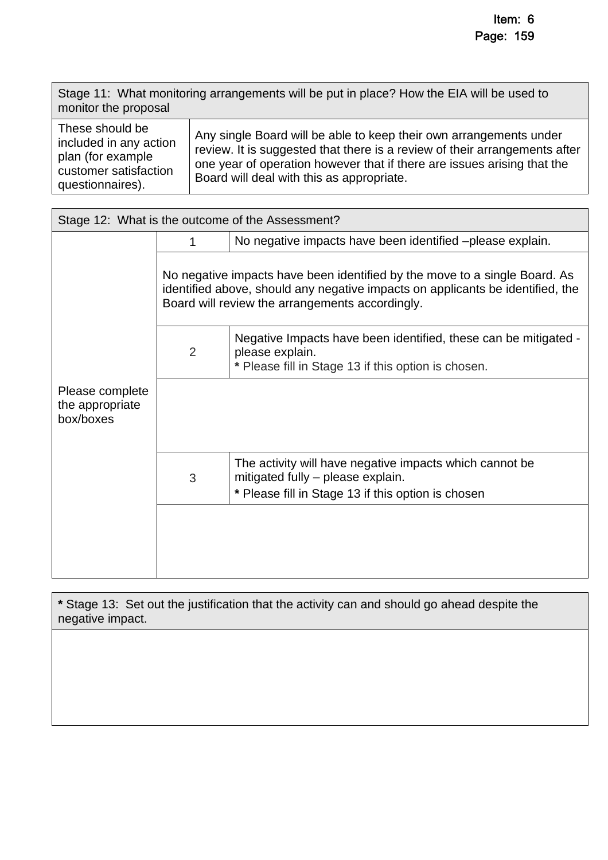Stage 11: What monitoring arrangements will be put in place? How the EIA will be used to monitor the proposal

| These should be        | Any single Board will be able to keep their own arrangements under         |
|------------------------|----------------------------------------------------------------------------|
| included in any action | review. It is suggested that there is a review of their arrangements after |
| plan (for example      | one year of operation however that if there are issues arising that the    |
| customer satisfaction  | Board will deal with this as appropriate.                                  |
| questionnaires).       |                                                                            |

| Stage 12: What is the outcome of the Assessment?                                         |                                                                                                                                                                                                                 |                                                                                                                                                    |  |  |
|------------------------------------------------------------------------------------------|-----------------------------------------------------------------------------------------------------------------------------------------------------------------------------------------------------------------|----------------------------------------------------------------------------------------------------------------------------------------------------|--|--|
|                                                                                          | 1                                                                                                                                                                                                               | No negative impacts have been identified -please explain.                                                                                          |  |  |
|                                                                                          | No negative impacts have been identified by the move to a single Board. As<br>identified above, should any negative impacts on applicants be identified, the<br>Board will review the arrangements accordingly. |                                                                                                                                                    |  |  |
| $\overline{2}$<br>please explain.<br>* Please fill in Stage 13 if this option is chosen. |                                                                                                                                                                                                                 | Negative Impacts have been identified, these can be mitigated -                                                                                    |  |  |
| Please complete<br>the appropriate<br>box/boxes                                          |                                                                                                                                                                                                                 |                                                                                                                                                    |  |  |
|                                                                                          | 3                                                                                                                                                                                                               | The activity will have negative impacts which cannot be<br>mitigated fully - please explain.<br>* Please fill in Stage 13 if this option is chosen |  |  |
|                                                                                          |                                                                                                                                                                                                                 |                                                                                                                                                    |  |  |

**\*** Stage 13: Set out the justification that the activity can and should go ahead despite the negative impact.